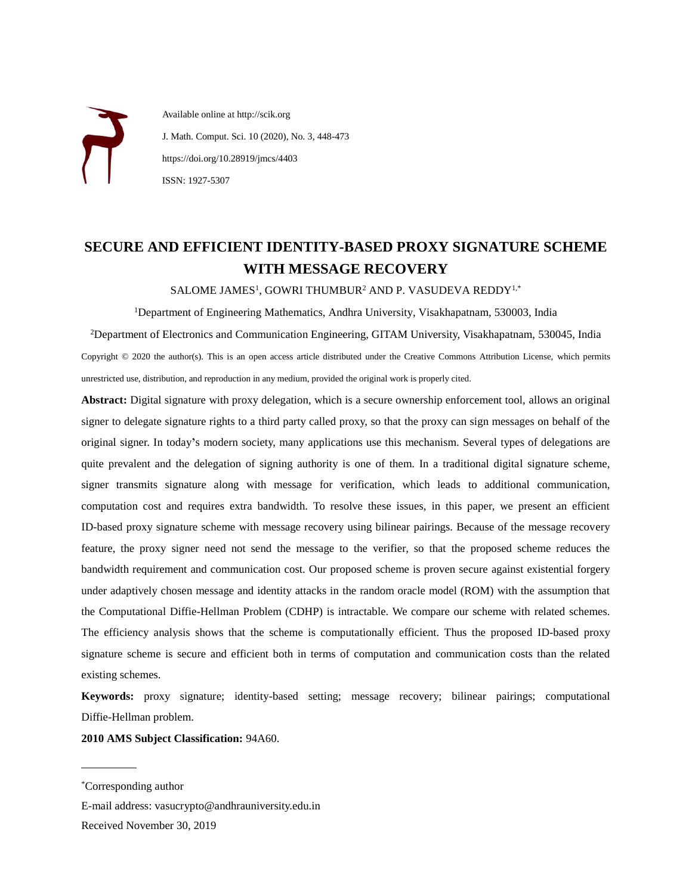Available online at http://scik.org J. Math. Comput. Sci. 10 (2020), No. 3, 448-473 https://doi.org/10.28919/jmcs/4403 ISSN: 1927-5307

# **SECURE AND EFFICIENT IDENTITY-BASED PROXY SIGNATURE SCHEME WITH MESSAGE RECOVERY**

 $SALOME$  JAMES<sup>1</sup>, GOWRI THUMBUR<sup>2</sup> AND P. VASUDEVA REDDY<sup>1,\*</sup>

<sup>1</sup>Department of Engineering Mathematics, Andhra University, Visakhapatnam, 530003, India

<sup>2</sup>Department of Electronics and Communication Engineering, GITAM University, Visakhapatnam, 530045, India Copyright © 2020 the author(s). This is an open access article distributed under the Creative Commons Attribution License, which permits unrestricted use, distribution, and reproduction in any medium, provided the original work is properly cited.

**Abstract:** Digital signature with proxy delegation, which is a secure ownership enforcement tool, allows an original signer to delegate signature rights to a third party called proxy, so that the proxy can sign messages on behalf of the original signer. In today**'**s modern society, many applications use this mechanism. Several types of delegations are quite prevalent and the delegation of signing authority is one of them. In a traditional digital signature scheme, signer transmits signature along with message for verification, which leads to additional communication, computation cost and requires extra bandwidth. To resolve these issues, in this paper, we present an efficient ID-based proxy signature scheme with message recovery using bilinear pairings. Because of the message recovery feature, the proxy signer need not send the message to the verifier, so that the proposed scheme reduces the bandwidth requirement and communication cost. Our proposed scheme is proven secure against existential forgery under adaptively chosen message and identity attacks in the random oracle model (ROM) with the assumption that the Computational Diffie-Hellman Problem (CDHP) is intractable. We compare our scheme with related schemes. The efficiency analysis shows that the scheme is computationally efficient. Thus the proposed ID-based proxy signature scheme is secure and efficient both in terms of computation and communication costs than the related existing schemes.

**Keywords:** proxy signature; identity-based setting; message recovery; bilinear pairings; computational Diffie-Hellman problem.

**2010 AMS Subject Classification:** 94A60.

 $\overline{a}$ 

E-mail address: [vasucrypto@andhrauniversity.edu.in](mailto:vasucrypto@andhrauniversity.edu.in) Received November 30, 2019

<sup>\*</sup>Corresponding author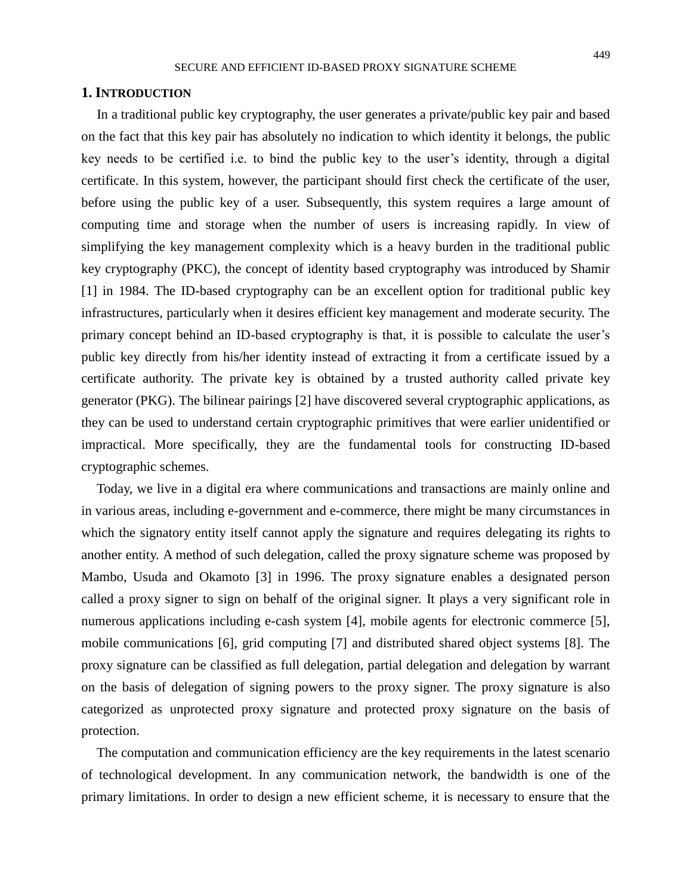#### **1. INTRODUCTION**

In a traditional public key cryptography, the user generates a private/public key pair and based on the fact that this key pair has absolutely no indication to which identity it belongs, the public key needs to be certified i.e. to bind the public key to the user's identity, through a digital certificate. In this system, however, the participant should first check the certificate of the user, before using the public key of a user. Subsequently, this system requires a large amount of computing time and storage when the number of users is increasing rapidly. In view of simplifying the key management complexity which is a heavy burden in the traditional public key cryptography (PKC), the concept of identity based cryptography was introduced by Shamir [1] in 1984. The ID-based cryptography can be an excellent option for traditional public key infrastructures, particularly when it desires efficient key management and moderate security. The primary concept behind an ID-based cryptography is that, it is possible to calculate the user's public key directly from his/her identity instead of extracting it from a certificate issued by a certificate authority. The private key is obtained by a trusted authority called private key generator (PKG). The bilinear pairings [2] have discovered several cryptographic applications, as they can be used to understand certain cryptographic primitives that were earlier unidentified or impractical. More specifically, they are the fundamental tools for constructing ID-based cryptographic schemes.

Today, we live in a digital era where communications and transactions are mainly online and in various areas, including e-government and e-commerce, there might be many circumstances in which the signatory entity itself cannot apply the signature and requires delegating its rights to another entity. A method of such delegation, called the proxy signature scheme was proposed by Mambo, Usuda and Okamoto [3] in 1996. The proxy signature enables a designated person called a proxy signer to sign on behalf of the original signer. It plays a very significant role in numerous applications including e-cash system [4], mobile agents for electronic commerce [5], mobile communications [6], grid computing [7] and distributed shared object systems [8]. The proxy signature can be classified as full delegation, partial delegation and delegation by warrant on the basis of delegation of signing powers to the proxy signer. The proxy signature is also categorized as unprotected proxy signature and protected proxy signature on the basis of protection.

The computation and communication efficiency are the key requirements in the latest scenario of technological development. In any communication network, the bandwidth is one of the primary limitations. In order to design a new efficient scheme, it is necessary to ensure that the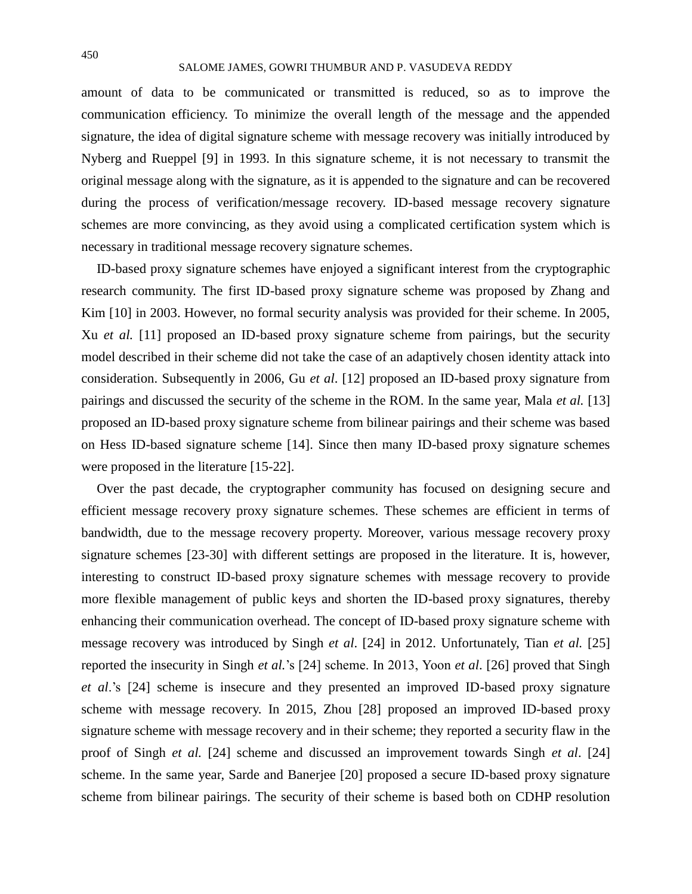#### SALOME JAMES, GOWRI THUMBUR AND P. VASUDEVA REDDY

amount of data to be communicated or transmitted is reduced, so as to improve the communication efficiency. To minimize the overall length of the message and the appended signature, the idea of digital signature scheme with message recovery was initially introduced by Nyberg and Rueppel [9] in 1993. In this signature scheme, it is not necessary to transmit the original message along with the signature, as it is appended to the signature and can be recovered during the process of verification/message recovery. ID-based message recovery signature schemes are more convincing, as they avoid using a complicated certification system which is necessary in traditional message recovery signature schemes.

ID-based proxy signature schemes have enjoyed a significant interest from the cryptographic research community. The first ID-based proxy signature scheme was proposed by Zhang and Kim [10] in 2003. However, no formal security analysis was provided for their scheme. In 2005, Xu *et al.* [11] proposed an ID-based proxy signature scheme from pairings, but the security model described in their scheme did not take the case of an adaptively chosen identity attack into consideration. Subsequently in 2006, Gu *et al*. [12] proposed an ID-based proxy signature from pairings and discussed the security of the scheme in the ROM. In the same year, Mala *et al.* [13] proposed an ID-based proxy signature scheme from bilinear pairings and their scheme was based on Hess ID-based signature scheme [14]. Since then many ID-based proxy signature schemes were proposed in the literature [15-22].

Over the past decade, the cryptographer community has focused on designing secure and efficient message recovery proxy signature schemes. These schemes are efficient in terms of bandwidth, due to the message recovery property. Moreover, various message recovery proxy signature schemes [23-30] with different settings are proposed in the literature. It is, however, interesting to construct ID-based proxy signature schemes with message recovery to provide more flexible management of public keys and shorten the ID-based proxy signatures, thereby enhancing their communication overhead. The concept of ID-based proxy signature scheme with message recovery was introduced by Singh *et al*. [24] in 2012. Unfortunately, Tian *et al.* [25] reported the insecurity in Singh *et al.*'s [24] scheme. In 2013, Yoon *et al*. [26] proved that Singh *et al*.'s [24] scheme is insecure and they presented an improved ID-based proxy signature scheme with message recovery. In 2015, Zhou [28] proposed an improved ID-based proxy signature scheme with message recovery and in their scheme; they reported a security flaw in the proof of Singh *et al.* [24] scheme and discussed an improvement towards Singh *et al*. [24] scheme. In the same year, Sarde and Banerjee [20] proposed a secure ID-based proxy signature scheme from bilinear pairings. The security of their scheme is based both on CDHP resolution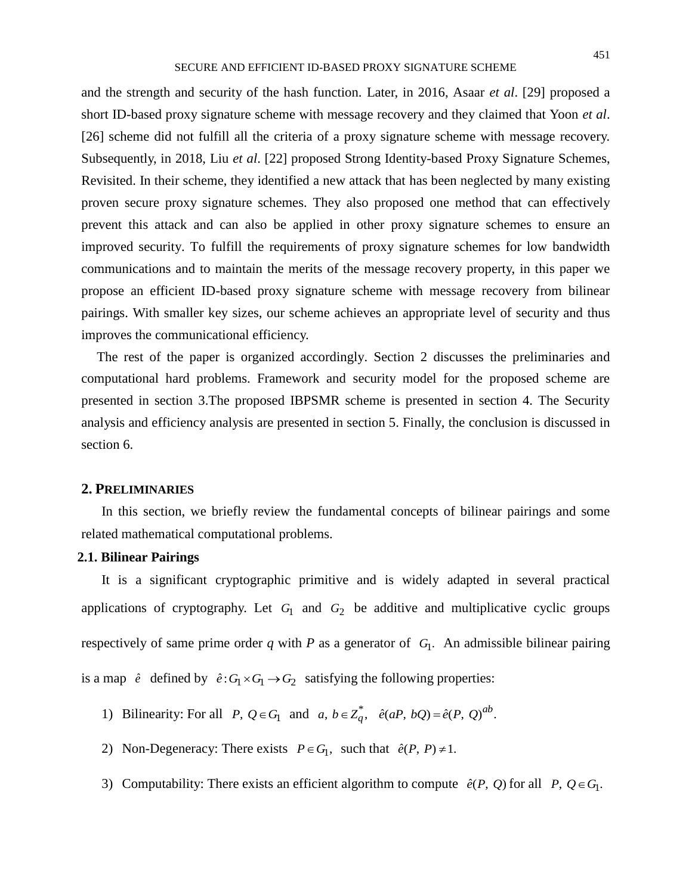and the strength and security of the hash function. Later, in 2016, Asaar *et al*. [29] proposed a short ID-based proxy signature scheme with message recovery and they claimed that Yoon *et al*. [26] scheme did not fulfill all the criteria of a proxy signature scheme with message recovery. Subsequently, in 2018, Liu *et al*. [22] proposed Strong Identity-based Proxy Signature Schemes, Revisited. In their scheme, they identified a new attack that has been neglected by many existing proven secure proxy signature schemes. They also proposed one method that can effectively prevent this attack and can also be applied in other proxy signature schemes to ensure an improved security. To fulfill the requirements of proxy signature schemes for low bandwidth communications and to maintain the merits of the message recovery property, in this paper we propose an efficient ID-based proxy signature scheme with message recovery from bilinear pairings. With smaller key sizes, our scheme achieves an appropriate level of security and thus improves the communicational efficiency.

The rest of the paper is organized accordingly. Section 2 discusses the preliminaries and computational hard problems. Framework and security model for the proposed scheme are presented in section 3.The proposed IBPSMR scheme is presented in section 4. The Security analysis and efficiency analysis are presented in section 5. Finally, the conclusion is discussed in section 6.

#### **2. PRELIMINARIES**

In this section, we briefly review the fundamental concepts of bilinear pairings and some related mathematical computational problems.

# **2.1. Bilinear Pairings**

It is a significant cryptographic primitive and is widely adapted in several practical applications of cryptography. Let  $G_1$  and  $G_2$  be additive and multiplicative cyclic groups respectively of same prime order  $q$  with  $P$  as a generator of  $G_1$ . An admissible bilinear pairing is a map  $\hat{e}$  defined by  $\hat{e}: G_1 \times G_1 \rightarrow G_2$  satisfying the following properties:

- 1) Bilinearity: For all  $P, Q \in G_1$  and  $a, b \in Z_q^*$ ,  $\hat{e}(aP, bQ) = \hat{e}(P, Q)^{ab}$ .
- 2) Non-Degeneracy: There exists  $P \in G_1$ , such that  $\hat{e}(P, P) \neq 1$ .
- 3) Computability: There exists an efficient algorithm to compute  $\hat{e}(P, Q)$  for all  $P, Q \in G_1$ .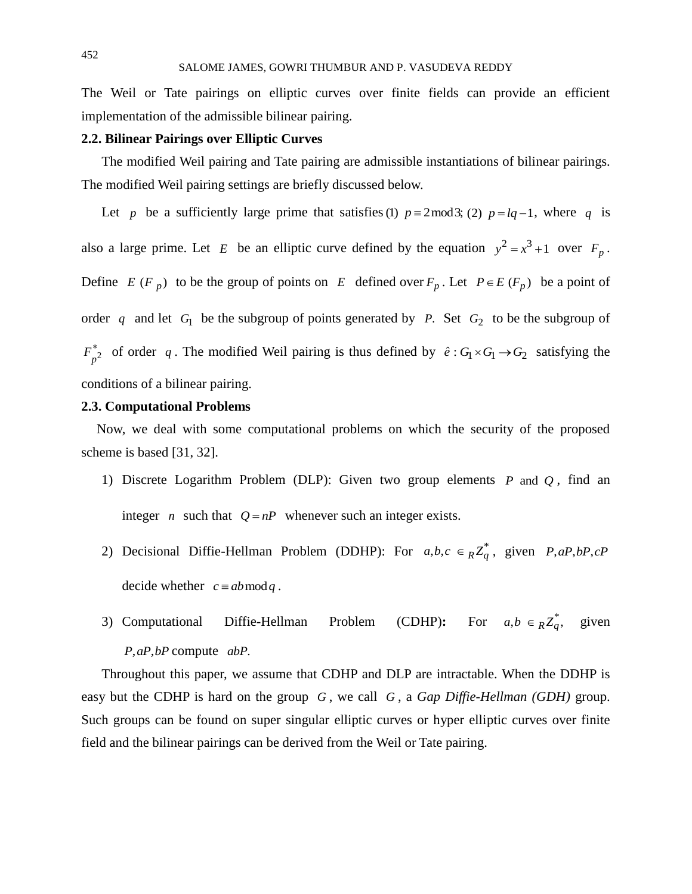The Weil or Tate pairings on elliptic curves over finite fields can provide an efficient implementation of the admissible bilinear pairing.

## **2.2. Bilinear Pairings over Elliptic Curves**

The modified Weil pairing and Tate pairing are admissible instantiations of bilinear pairings. The modified Weil pairing settings are briefly discussed below.

Let p be a sufficiently large prime that satisfies (1)  $p \equiv 2 \mod 3$ ; (2)  $p = lq - 1$ , where q is also a large prime. Let E be an elliptic curve defined by the equation  $y^2 = x^3 + 1$  over  $F_p$ . Define  $E(F_p)$  to be the group of points on  $E$  defined over  $F_p$ . Let  $P \in E(F_p)$  be a point of order q and let  $G_1$  be the subgroup of points generated by P. Set  $G_2$  to be the subgroup of  $F_{p^2}^*$  of order q. The modified Weil pairing is thus defined by  $\hat{e}: G_1 \times G_1 \to G_2$  satisfying the conditions of a bilinear pairing.

## **2.3. Computational Problems**

Now, we deal with some computational problems on which the security of the proposed scheme is based [31, 32].

- 1) Discrete Logarithm Problem (DLP): Given two group elements  $P$  and  $Q$ , find an integer *n* such that  $Q = nP$  whenever such an integer exists.
- 2) Decisional Diffie-Hellman Problem (DDHP): For  $a,b,c \in R Z_q^*$ , given  $P,aP,bP,cP$ decide whether  $c \equiv ab \mod q$ .
- 3) Computational Diffie-Hellman Problem (CDHP): For  $a, b \in_R Z_q^*$ , given P, aP, bP compute abP.

Throughout this paper, we assume that CDHP and DLP are intractable. When the DDHP is easy but the CDHP is hard on the group G, we call G, a Gap Diffie-Hellman (GDH) group. Such groups can be found on super singular elliptic curves or hyper elliptic curves over finite field and the bilinear pairings can be derived from the Weil or Tate pairing.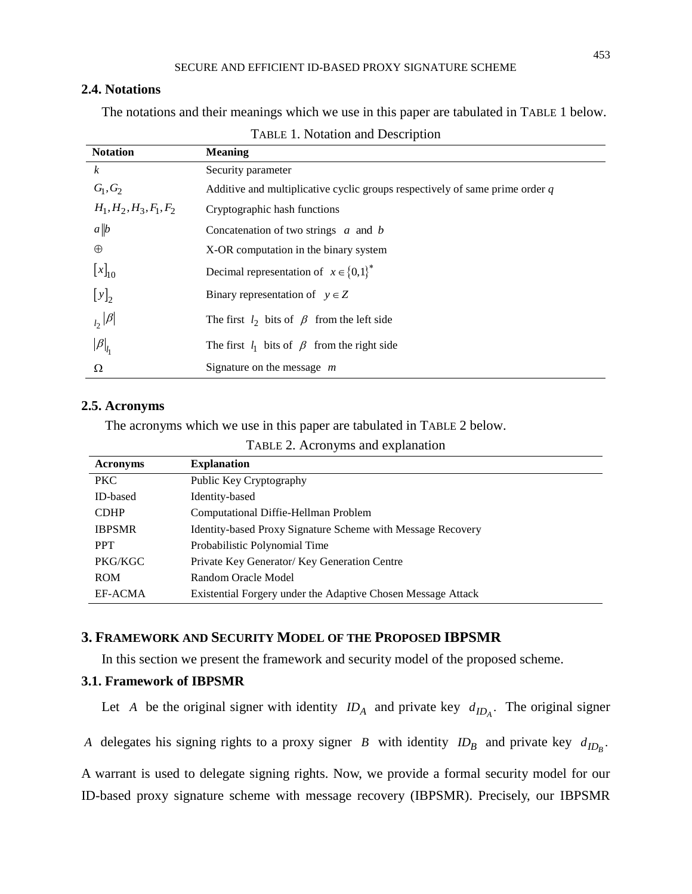# **2.4. Notations**

The notations and their meanings which we use in this paper are tabulated in TABLE 1 below.

| <b>Notation</b>           | <b>Meaning</b>                                                               |
|---------------------------|------------------------------------------------------------------------------|
| $\boldsymbol{k}$          | Security parameter                                                           |
| $G_1, G_2$                | Additive and multiplicative cyclic groups respectively of same prime order q |
| $H_1, H_2, H_3, F_1, F_2$ | Cryptographic hash functions                                                 |
| a  b                      | Concatenation of two strings $\alpha$ and $\beta$                            |
| $\oplus$                  | X-OR computation in the binary system                                        |
| $[x]_{10}$                | Decimal representation of $x \in \{0,1\}^*$                                  |
| $[y]_2$                   | Binary representation of $y \in Z$                                           |
| $\frac{1}{2} \beta $      | The first $l_2$ bits of $\beta$ from the left side                           |
| $ \beta _{l_1}$           | The first $l_1$ bits of $\beta$ from the right side                          |
| Ω                         | Signature on the message $m$                                                 |

#### TABLE 1. Notation and Description

## **2.5. Acronyms**

The acronyms which we use in this paper are tabulated in TABLE 2 below.

TABLE 2. Acronyms and explanation

| <b>Acronyms</b> | <b>Explanation</b>                                           |
|-----------------|--------------------------------------------------------------|
| PKC             | Public Key Cryptography                                      |
| ID-based        | Identity-based                                               |
| <b>CDHP</b>     | Computational Diffie-Hellman Problem                         |
| <b>IBPSMR</b>   | Identity-based Proxy Signature Scheme with Message Recovery  |
| <b>PPT</b>      | Probabilistic Polynomial Time                                |
| PKG/KGC         | Private Key Generator/ Key Generation Centre                 |
| <b>ROM</b>      | Random Oracle Model                                          |
| EF-ACMA         | Existential Forgery under the Adaptive Chosen Message Attack |

# **3. FRAMEWORK AND SECURITY MODEL OF THE PROPOSED IBPSMR**

In this section we present the framework and security model of the proposed scheme.

# **3.1. Framework of IBPSMR**

Let *A* be the original signer with identity  $ID_A$  and private key  $d_{ID_A}$ . The original signer

*A* delegates his signing rights to a proxy signer *B* with identity  $ID_B$  and private key  $d_{ID_B}$ .

A warrant is used to delegate signing rights. Now, we provide a formal security model for our ID-based proxy signature scheme with message recovery (IBPSMR). Precisely, our IBPSMR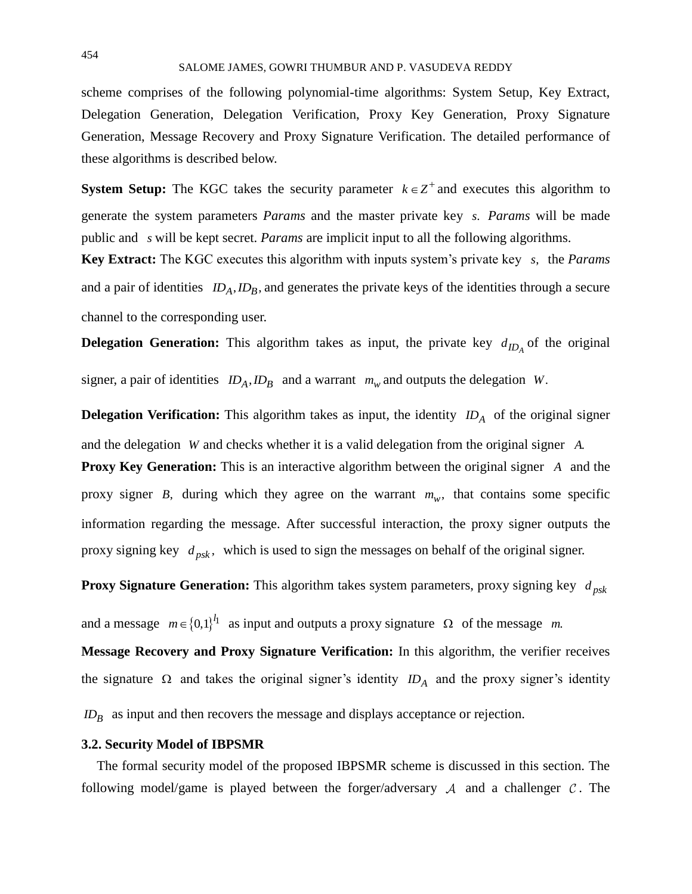#### SALOME JAMES, GOWRI THUMBUR AND P. VASUDEVA REDDY

scheme comprises of the following polynomial-time algorithms: System Setup, Key Extract, Delegation Generation, Delegation Verification, Proxy Key Generation, Proxy Signature Generation, Message Recovery and Proxy Signature Verification. The detailed performance of these algorithms is described below.

**System Setup:** The KGC takes the security parameter  $k \in \mathbb{Z}^+$  and executes this algorithm to generate the system parameters *Params* and the master private key *s*. *Params* will be made public and *s* will be kept secret. *Params* are implicit input to all the following algorithms.

**Key Extract:** The KGC executes this algorithm with inputs system's private key *s*, the *Params*  and a pair of identities  $ID_A$ ,  $ID_B$ , and generates the private keys of the identities through a secure channel to the corresponding user.

**Delegation Generation:** This algorithm takes as input, the private key  $d_{ID_A}$  of the original

signer, a pair of identities  $ID_A$ ,  $ID_B$  and a warrant  $m_w$  and outputs the delegation *W*.

**Delegation Verification:** This algorithm takes as input, the identity  $ID_A$  of the original signer and the delegation *W* and checks whether it is a valid delegation from the original signer *A*. **Proxy Key Generation:** This is an interactive algorithm between the original signer A and the proxy signer *B*, during which they agree on the warrant  $m_w$ , that contains some specific information regarding the message. After successful interaction, the proxy signer outputs the proxy signing key  $d_{psk}$ , which is used to sign the messages on behalf of the original signer.

**Proxy Signature Generation:** This algorithm takes system parameters, proxy signing key  $d_{psk}$ 

and a message  $m \in \{0,1\}^{\lceil l \rceil}$  as input and outputs a proxy signature  $\Omega$  of the message m.

**Message Recovery and Proxy Signature Verification:** In this algorithm, the verifier receives the signature  $\Omega$  and takes the original signer's identity  $ID_A$  and the proxy signer's identity

*ID*<sub>B</sub> as input and then recovers the message and displays acceptance or rejection.

## **3.2. Security Model of IBPSMR**

The formal security model of the proposed IBPSMR scheme is discussed in this section. The following model/game is played between the forger/adversary  $A$  and a challenger  $C$ . The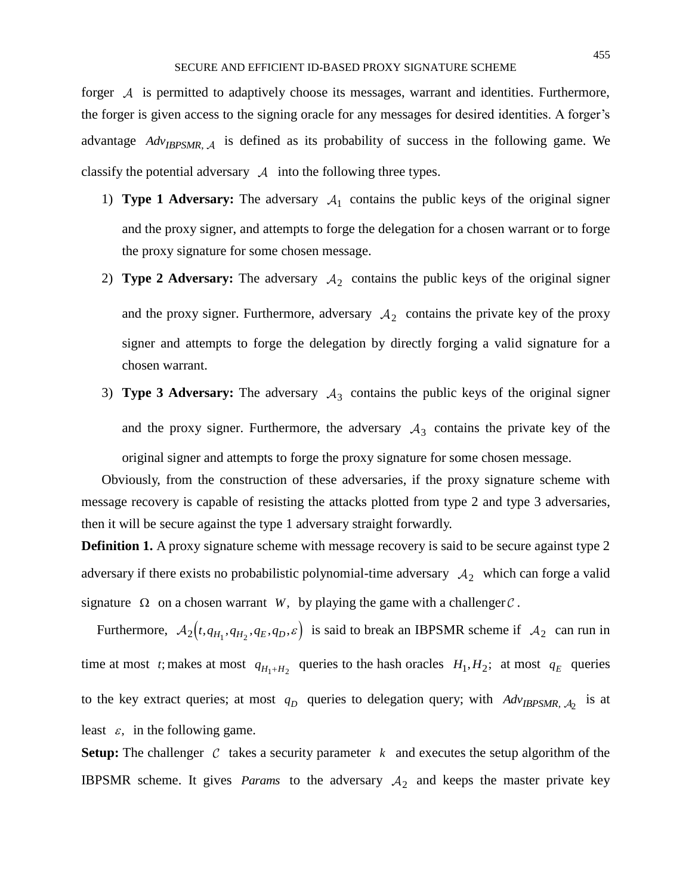forger  $A$  is permitted to adaptively choose its messages, warrant and identities. Furthermore, the forger is given access to the signing oracle for any messages for desired identities. A forger's advantage *AdvIBPSMR*, is defined as its probability of success in the following game. We classify the potential adversary  $\mathcal A$  into the following three types.

- 1) **Type 1 Adversary:** The adversary  $A_1$  contains the public keys of the original signer and the proxy signer, and attempts to forge the delegation for a chosen warrant or to forge the proxy signature for some chosen message.
- 2) **Type 2 Adversary:** The adversary  $A_2$  contains the public keys of the original signer and the proxy signer. Furthermore, adversary  $A_2$  contains the private key of the proxy signer and attempts to forge the delegation by directly forging a valid signature for a chosen warrant.
- 3) **Type 3 Adversary:** The adversary  $A_3$  contains the public keys of the original signer and the proxy signer. Furthermore, the adversary  $A_3$  contains the private key of the original signer and attempts to forge the proxy signature for some chosen message.

Obviously, from the construction of these adversaries, if the proxy signature scheme with message recovery is capable of resisting the attacks plotted from type 2 and type 3 adversaries, then it will be secure against the type 1 adversary straight forwardly.

**Definition 1.** A proxy signature scheme with message recovery is said to be secure against type 2 adversary if there exists no probabilistic polynomial-time adversary  $A_2$  which can forge a valid signature  $\Omega$  on a chosen warrant W, by playing the game with a challenger  $\mathcal{C}$ .

Furthermore,  $A_2(t, q_{H_1}, q_{H_2}, q_E, q_D, \varepsilon)$  is said to break an IBPSMR scheme if  $A_2$  can run in time at most *t*; makes at most  $q_{H_1 + H_2}$  queries to the hash oracles  $H_1, H_2$ ; at most  $q_E$  queries to the key extract queries; at most  $q_D$  queries to delegation query; with  $Adv_{IBPSMR, \mathcal{A}_2}$  is at least  $\varepsilon$ , in the following game.

**Setup:** The challenger  $C$  takes a security parameter  $k$  and executes the setup algorithm of the IBPSMR scheme. It gives *Params* to the adversary  $A_2$  and keeps the master private key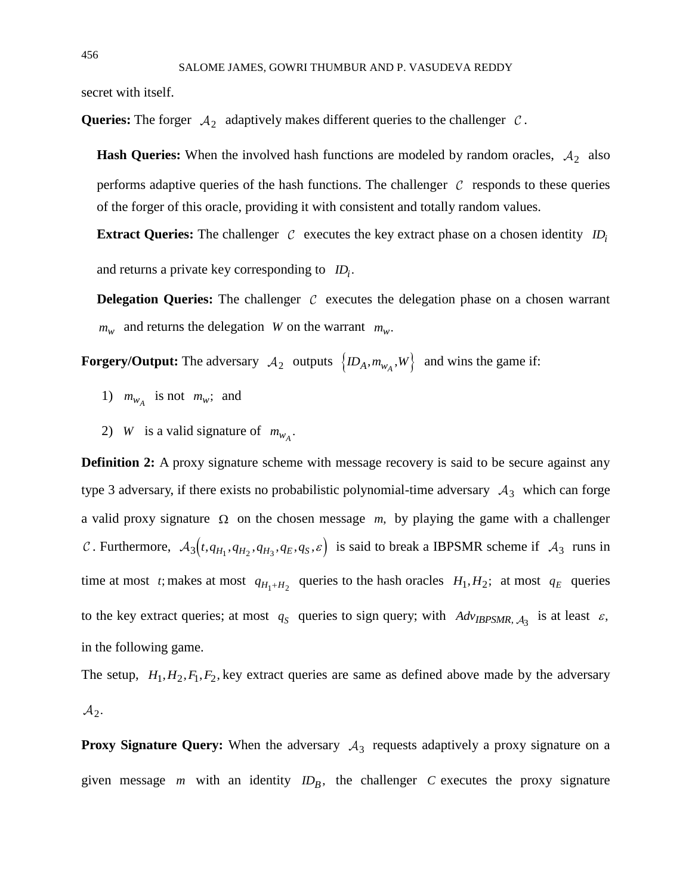secret with itself.

**Queries:** The forger  $A_2$  adaptively makes different queries to the challenger  $C$ .

**Hash Queries:** When the involved hash functions are modeled by random oracles,  $A_2$  also performs adaptive queries of the hash functions. The challenger  $\mathcal C$  responds to these queries of the forger of this oracle, providing it with consistent and totally random values.

**Extract Queries:** The challenger  $\mathcal{C}$  executes the key extract phase on a chosen identity  $ID_i$ 

and returns a private key corresponding to  $ID_i$ .

**Delegation Queries:** The challenger  $C$  executes the delegation phase on a chosen warrant  $m_w$  and returns the delegation *W* on the warrant  $m_w$ .

**Forgery/Output:** The adversary  $A_2$  outputs  $\{ID_A, m_{w_A}, W\}$  and wins the game if:

- 1)  $m_{w_A}$  is not  $m_w$ ; and
- 2) *W* is a valid signature of  $m_{w_A}$ .

**Definition 2:** A proxy signature scheme with message recovery is said to be secure against any type 3 adversary, if there exists no probabilistic polynomial-time adversary  $A_3$  which can forge a valid proxy signature  $\Omega$  on the chosen message  $m$ , by playing the game with a challenger Furthermore,  $A_3(t, q_{H_1}, q_{H_2}, q_{H_3}, q_E, q_S, \varepsilon)$  is said to break a IBPSMR scheme if  $A_3$  runs in time at most *t*; makes at most  $q_{H_1 + H_2}$  queries to the hash oracles  $H_1, H_2$ ; at most  $q_E$  queries to the key extract queries; at most  $q_s$  queries to sign query; with  $Adv_{IBPSMR, A_3}$  is at least  $\varepsilon$ , in the following game.

The setup,  $H_1, H_2, F_1, F_2$ , key extract queries are same as defined above made by the adversary  $2\cdot$ 

**Proxy Signature Query:** When the adversary  $A_3$  requests adaptively a proxy signature on a given message  $m$  with an identity  $ID_B$ , the challenger  $C$  executes the proxy signature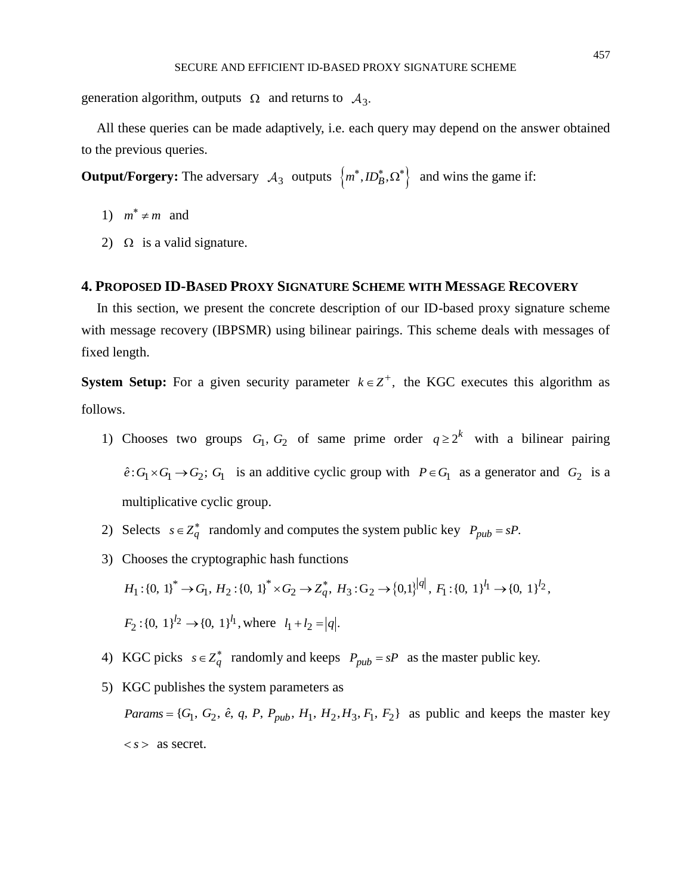generation algorithm, outputs  $\Omega$  and returns to  $A_3$ .

All these queries can be made adaptively, i.e. each query may depend on the answer obtained to the previous queries.

**Output/Forgery:** The adversary  $A_3$  outputs  $\{m^*, ID_B^*, \Omega^*\}$  and wins the game if:

- 1)  $m^* \neq m$  and
- 2)  $\Omega$  is a valid signature.

#### **4. PROPOSED ID-BASED PROXY SIGNATURE SCHEME WITH MESSAGE RECOVERY**

In this section, we present the concrete description of our ID-based proxy signature scheme with message recovery (IBPSMR) using bilinear pairings. This scheme deals with messages of fixed length.

**System Setup:** For a given security parameter  $k \in \mathbb{Z}^+$ , the KGC executes this algorithm as follows.

- 1) Chooses two groups  $G_1, G_2$  of same prime order  $q \geq 2^k$  with a bilinear pairing  $\hat{e}: G_1 \times G_1 \to G_2$ ;  $G_1$  is an additive cyclic group with  $P \in G_1$  as a generator and  $G_2$  is a multiplicative cyclic group.
- 2) Selects  $s \in Z_q^*$  randomly and computes the system public key  $P_{pub} = sP$ .
- 3) Chooses the cryptographic hash functions  $H_1: \{0, 1\}^* \to G_1, H_2: \{0, 1\}^* \times G_2 \to Z_q^*, H_3: G_2 \to \{0, 1\}^{|q|}, F_1: \{0, 1\}^{{l_1}} \to \{0, 1\}^{{l_2}}.$  $F_2$ :{0, 1}<sup> $l_2$ </sup>  $\rightarrow$ {0, 1}<sup> $l_1$ </sup>, where  $l_1 + l_2 = |q|$ .
- 4) KGC picks  $s \in Z_q^*$  randomly and keeps  $P_{pub} = sP$  as the master public key.
- 5) KGC publishes the system parameters as *Params* =  $\{G_1, G_2, \hat{e}, q, P, P_{pub}, H_1, H_2, H_3, F_1, F_2\}$  as public and keeps the master key  $\langle s \rangle$  as secret.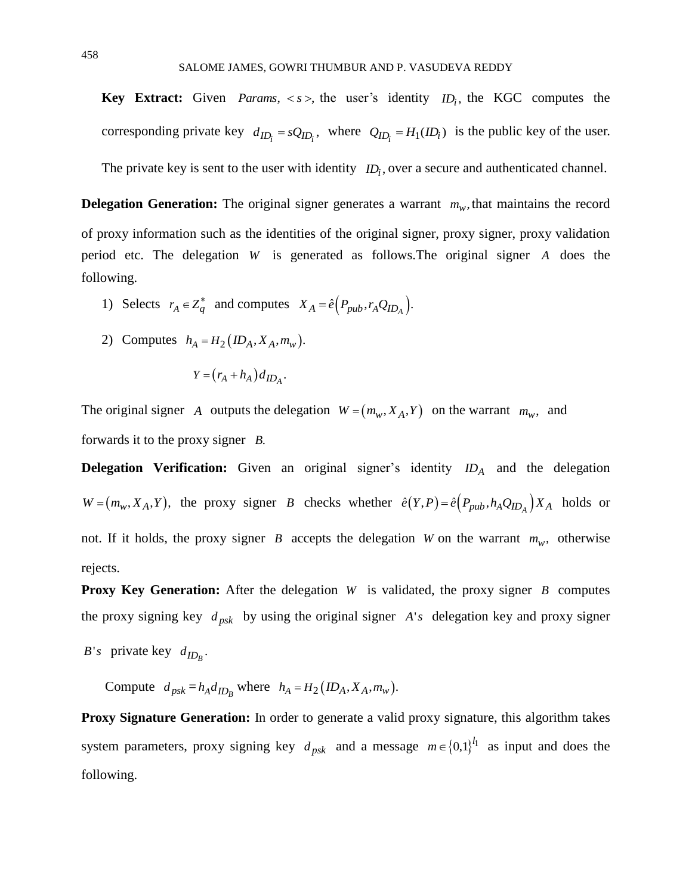**Key Extract:** Given *Params*,  $\langle s \rangle$ , the user's identity  $ID_i$ , the KGC computes the corresponding private key  $d_{ID_i} = sQ_{ID_i}$ , where  $Q_{ID_i} = H_1(ID_i)$  is the public key of the user. The private key is sent to the user with identity  $ID_i$ , over a secure and authenticated channel.

**Delegation Generation:** The original signer generates a warrant  $m_w$ , that maintains the record of proxy information such as the identities of the original signer, proxy signer, proxy validation period etc. The delegation *W* is generated as follows.The original signer *A* does the following.

- 1) Selects  $r_A \in Z_q^*$  and computes  $X_A = \hat{e} \Big( P_{pub}, r_A Q_{ID_A} \Big)$ .
- 2) Computes  $h_A = H_2 (ID_A, X_A, m_w)$ .

$$
Y = (r_A + h_A) d_{ID_A}.
$$

The original signer A outputs the delegation  $W = (m_w, X_A, Y)$  on the warrant  $m_w$ , and forwards it to the proxy signer *B*.

**Delegation Verification:** Given an original signer's identity  $ID_A$  and the delegation  $W = (m_w, X_A, Y)$ , the proxy signer *B* checks whether  $\hat{e}(Y, P) = \hat{e}(P_{pub}, h_A Q_{ID_A}) X_A$  holds or not. If it holds, the proxy signer *B* accepts the delegation *W* on the warrant  $m_w$ , otherwise rejects.

**Proxy Key Generation:** After the delegation W is validated, the proxy signer B computes the proxy signing key  $d_{psk}$  by using the original signer  $A$ 's delegation key and proxy signer

*B*'s private key  $d_{ID_B}$ .

Compute  $d_{psk} = h_A d_{ID_B}$  where  $h_A = H_2 (ID_A, X_A, m_w)$ .

**Proxy Signature Generation:** In order to generate a valid proxy signature, this algorithm takes system parameters, proxy signing key  $d_{psk}$  and a message  $m \in \{0,1\}^{l_1}$  as input and does the following.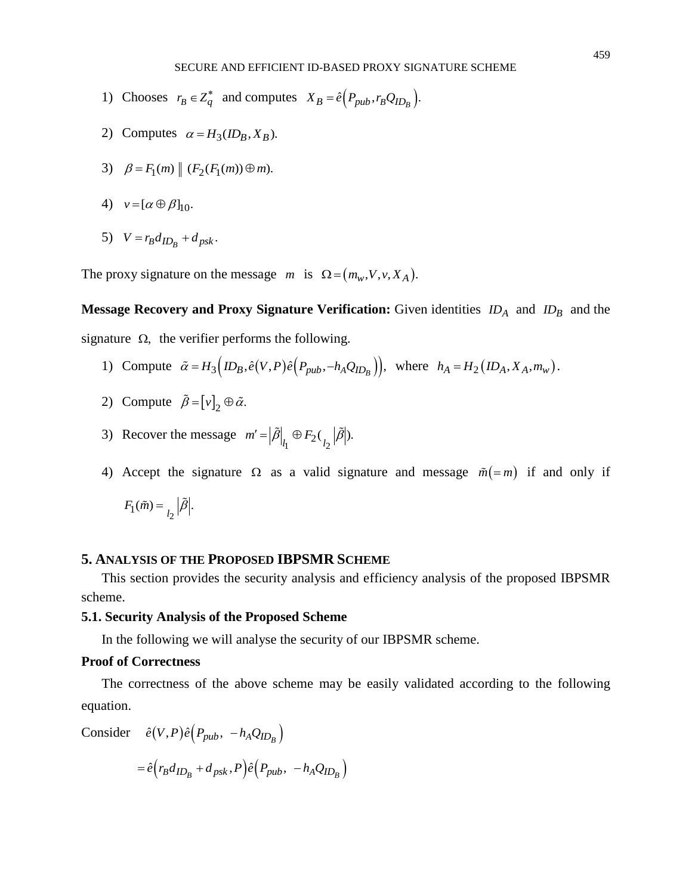- 1) Chooses  $r_B \in Z_q^*$  and computes  $X_B = \hat{e} \left( P_{pub}, r_B Q_{ID_B} \right)$ .
- 2) Computes  $\alpha = H_3(ID_B, X_B)$ .
- 3)  $\beta = F_1(m) || (F_2(F_1(m)) \oplus m).$
- 4)  $v = [\alpha \oplus \beta]_{10}$ .
- 5)  $V = r_B d_{ID_B} + d_{psk}$ .

The proxy signature on the message  $m$  is  $\Omega = (m_w, V, v, X_A)$ .

**Message Recovery and Proxy Signature Verification:** Given identities  $ID_A$  and  $ID_B$  and the signature  $\Omega$ , the verifier performs the following.

- 1) Compute  $\tilde{\alpha} = H_3(D_B, \hat{e}(V, P)\hat{e}(P_{pub}, -h_AQ_{ID_B}))$ , where  $h_A = H_2(D_A, X_A, m_w)$ .
- 2) Compute  $\beta = [\nu]_2 \oplus \tilde{\alpha}$ .
- 3) Recover the message  $m' = |\tilde{\beta}|_{l_1} \oplus F_2 \left( \binom{\tilde{\beta}}{l_2} \right).$
- 4) Accept the signature  $\Omega$  as a valid signature and message  $\tilde{m} (= m)$  if and only if

$$
F_1(\tilde{m}) = \binom{\tilde{\beta}}{l_2}
$$

# **5. ANALYSIS OF THE PROPOSED IBPSMR SCHEME**

This section provides the security analysis and efficiency analysis of the proposed IBPSMR scheme.

#### **5.1. Security Analysis of the Proposed Scheme**

In the following we will analyse the security of our IBPSMR scheme.

# **Proof of Correctness**

The correctness of the above scheme may be easily validated according to the following equation.

Consider 
$$
\hat{e}(V, P)\hat{e}(P_{pub}, -h_A Q_{ID_B})
$$
  
=  $\hat{e}(r_B d_{ID_B} + d_{psk}, P)\hat{e}(P_{pub}, -h_A Q_{ID_B})$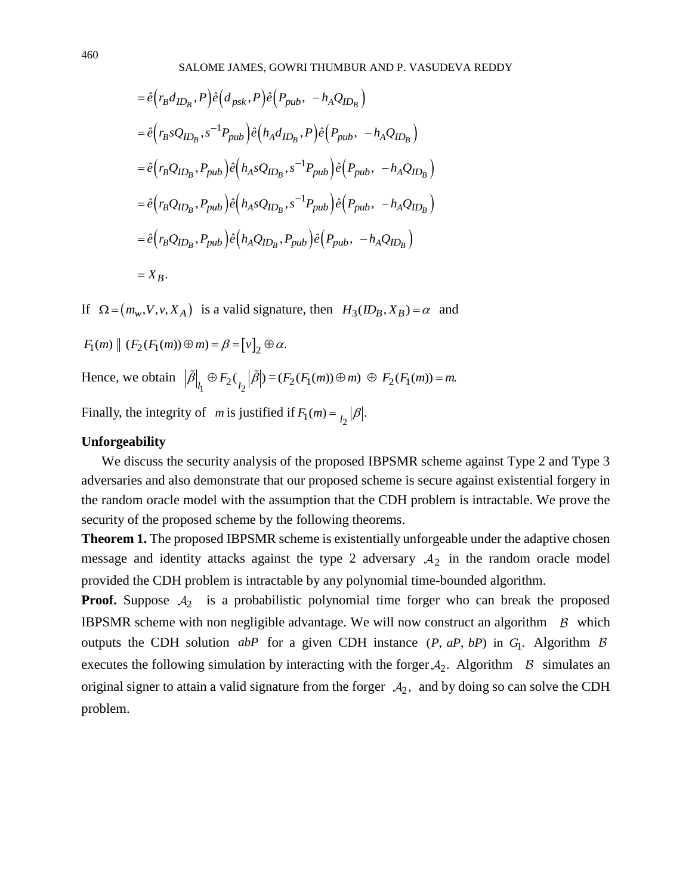$$
= \hat{e}(r_B d_{ID_B}, P)\hat{e}(d_{psk}, P)\hat{e}(P_{pub}, -h_A Q_{ID_B})
$$
  
\n
$$
= \hat{e}(r_B s Q_{ID_B}, s^{-1} P_{pub})\hat{e}(h_A d_{ID_B}, P)\hat{e}(P_{pub}, -h_A Q_{ID_B})
$$
  
\n
$$
= \hat{e}(r_B Q_{ID_B}, P_{pub})\hat{e}(h_A s Q_{ID_B}, s^{-1} P_{pub})\hat{e}(P_{pub}, -h_A Q_{ID_B})
$$
  
\n
$$
= \hat{e}(r_B Q_{ID_B}, P_{pub})\hat{e}(h_A s Q_{ID_B}, s^{-1} P_{pub})\hat{e}(P_{pub}, -h_A Q_{ID_B})
$$
  
\n
$$
= \hat{e}(r_B Q_{ID_B}, P_{pub})\hat{e}(h_A Q_{ID_B}, P_{pub})\hat{e}(P_{pub}, -h_A Q_{ID_B})
$$
  
\n
$$
= X_B.
$$

If  $\Omega = (m_w, V, v, X_A)$  is a valid signature, then  $H_3(ID_B, X_B) = \alpha$  and

$$
F_1(m) \parallel (F_2(F_1(m)) \oplus m) = \beta = [\nu]_2 \oplus \alpha.
$$
  
Hence, we obtain  $|\tilde{\beta}|_{l_1} \oplus F_2(\binom{\beta}{l_2} = (F_2(F_1(m)) \oplus m) \oplus F_2(F_1(m)) = m.$   
Finally, the integrity of *m* is justified if  $F_1(m) = \binom{\beta}{l_2}$ .

#### **Unforgeability**

We discuss the security analysis of the proposed IBPSMR scheme against Type 2 and Type 3 adversaries and also demonstrate that our proposed scheme is secure against existential forgery in the random oracle model with the assumption that the CDH problem is intractable. We prove the security of the proposed scheme by the following theorems.

**Theorem 1.** The proposed IBPSMR scheme is existentially unforgeable under the adaptive chosen message and identity attacks against the type 2 adversary  $A_2$  in the random oracle model provided the CDH problem is intractable by any polynomial time-bounded algorithm.

**Proof.** Suppose  $A_2$  is a probabilistic polynomial time forger who can break the proposed **IBPSMR** scheme with non negligible advantage. We will now construct an algorithm  $\beta$  which outputs the CDH solution *abP* for a given CDH instance (*P*, *aP*, *bP*) in  $G_1$ . Algorithm executes the following simulation by interacting with the forger  $A_2$ . Algorithm  $\beta$  simulates an original signer to attain a valid signature from the forger  $A_2$ , and by doing so can solve the CDH problem.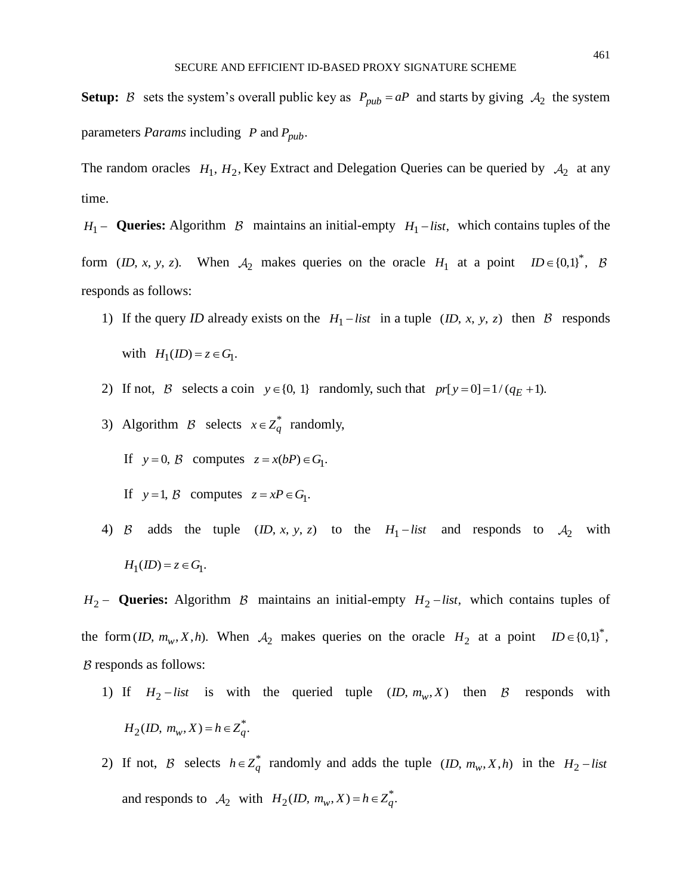The random oracles  $H_1$ ,  $H_2$ , Key Extract and Delegation Queries can be queried by  $A_2$  at any time.

*H*<sub>1</sub> − **Queries:** Algorithm B maintains an initial-empty  $H_1$  – *list*, which contains tuples of the form (*ID*, *x*, *y*, *z*). When  $A_2$  makes queries on the oracle  $H_1$  at a point  $ID \in \{0,1\}^*$ , responds as follows:

- 1) If the query *ID* already exists on the  $H_1$  *list* in a tuple (*ID*, *x*, *y*, *z*) then *B* responds with  $H_1(ID) = z \in G_1$ .
- 2) If not, B selects a coin  $y \in \{0, 1\}$  randomly, such that  $pr[y=0] = 1/(q_E + 1)$ .
- 3) Algorithm *B* selects  $x \in Z_q^*$  randomly,
- If  $y = 0$ , B computes  $z = x(bP) \in G_1$ .
- If  $y=1$ , B computes  $z = xP \in G_1$ .
- 4) B adds the tuple  $(ID, x, y, z)$  to the  $H_1$ -list and responds to  $A_2$  with  $H_1(ID) = z \in G_1$ .

 $H_2$  – **Queries:** Algorithm B maintains an initial-empty  $H_2$  – *list*, which contains tuples of the form (*ID*,  $m_w$ , *X*,*h*). When  $A_2$  makes queries on the oracle  $H_2$  at a point  $ID \in \{0,1\}^*$ ,  $B$  responds as follows:

- 1) If  $H_2$ -list is with the queried tuple  $(ID, m_w, X)$  then B responds with  $H_2($ **ID**,  $m_w$ ,  $X$ **)** =  $h \in Z_q^*$ .
- 2) If not, B selects  $h \in Z_q^*$  randomly and adds the tuple  $(1D, m_w, X, h)$  in the  $H_2$ -list and responds to  $A_2$  with  $H_2$ (*ID*,  $m_w$ , *X*) =  $h \in Z_q^*$ .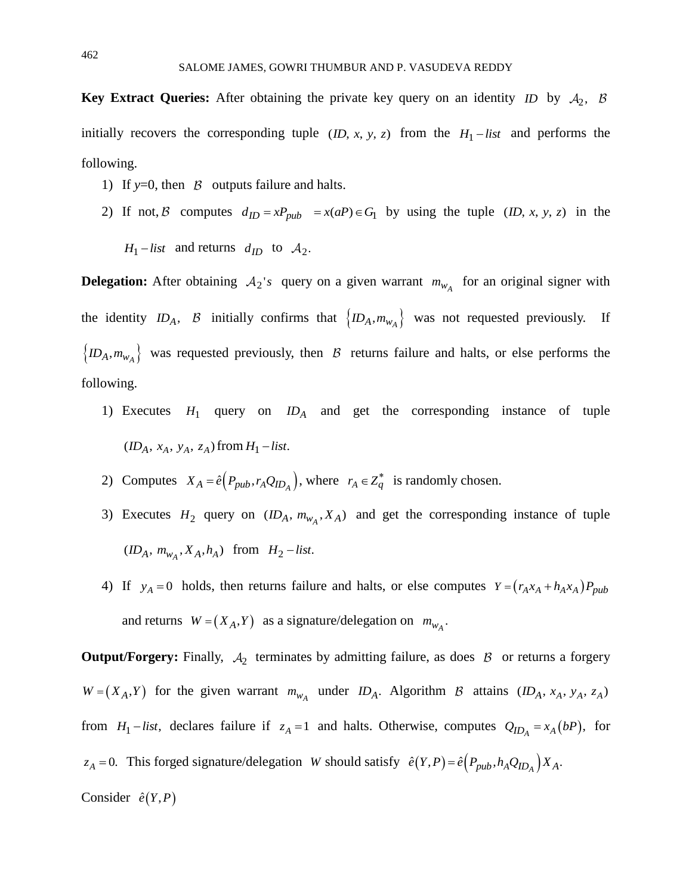**Key Extract Queries:** After obtaining the private key query on an identity *ID* by  $A_2$ , initially recovers the corresponding tuple  $(ID, x, y, z)$  from the  $H_1$ -list and performs the following.

- 1) If  $y=0$ , then  $\beta$  outputs failure and halts.
- 2) If not, B computes  $d_{ID} = xP_{pub} = x(aP) \in G_1$  by using the tuple  $(ID, x, y, z)$  in the  $H_1$  – *list* and returns  $d_{ID}$  to  $A_2$ .

**Delegation:** After obtaining  $A_2$ 's query on a given warrant  $m_{w_A}$  for an original signer with the identity  $ID_A$ ,  $B$  initially confirms that  $\{ID_A, m_{w_A}\}\$  was not requested previously. If  $\{ID_A, m_{w_A}\}\$  was requested previously, then *B* returns failure and halts, or else performs the following.

- 1) Executes  $H_1$  query on  $ID_A$  and get the corresponding instance of tuple  $(ID_A, x_A, y_A, z_A)$  from  $H_1$  – *list*.
- 2) Computes  $X_A = \hat{e} \Big( P_{pub}, r_A Q_{ID_A} \Big)$ , where  $r_A \in Z_q^*$  is randomly chosen.
- 3) Executes  $H_2$  query on  $(ID_A, m_{w_A}, X_A)$  and get the corresponding instance of tuple  $( ID_A, m_{w_A}, X_A, h_A)$  from  $H_2$  - list.
- 4) If  $y_A = 0$  holds, then returns failure and halts, or else computes  $Y = (r_A x_A + h_A x_A) P_{pub}$ and returns  $W = (X_A, Y)$  as a signature/delegation on  $m_{W_A}$ .

**Output/Forgery:** Finally,  $A_2$  terminates by admitting failure, as does  $B$  or returns a forgery  $W = (X_A, Y)$  for the given warrant  $m_{W_A}$  under  $ID_A$ . Algorithm B attains  $(ID_A, x_A, y_A, z_A)$ from  $H_1$  – *list*, declares failure if  $z_A = 1$  and halts. Otherwise, computes  $Q_{ID_A} = x_A (bP)$ , for  $z_A = 0$ . This forged signature/delegation *W* should satisfy  $\hat{e}(Y, P) = \hat{e}(P_{pub}, h_A Q_{ID_A}) X_A$ . Consider  $\hat{e}(Y, P)$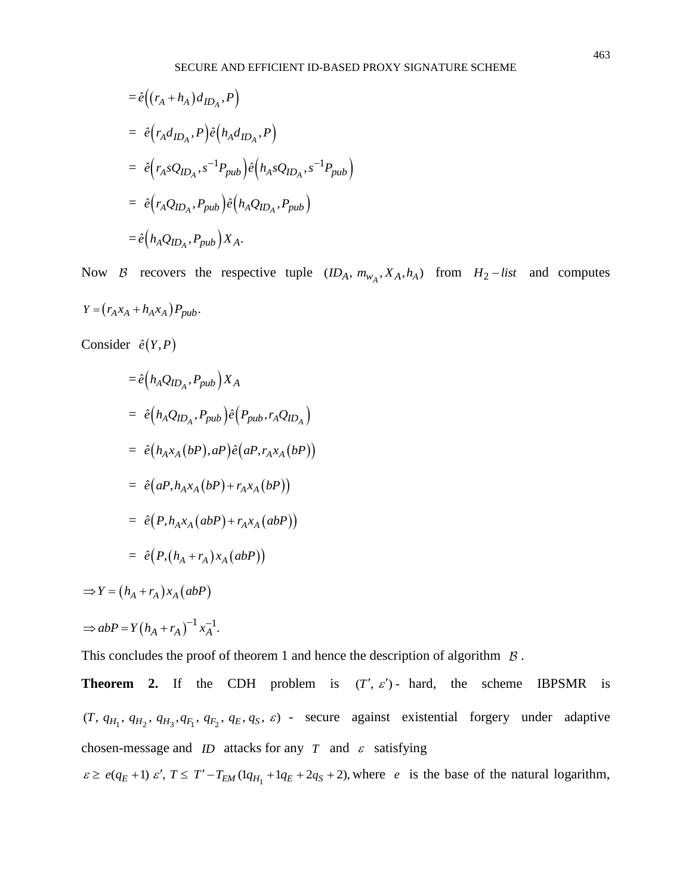$$
= \hat{e}((r_A + h_A)d_{ID_A}, P)
$$
  
\n
$$
= \hat{e}(r_Ad_{ID_A}, P)\hat{e}(h_Ad_{ID_A}, P)
$$
  
\n
$$
= \hat{e}(r_AsQ_{ID_A}, s^{-1}P_{pub})\hat{e}(h_AsQ_{ID_A}, s^{-1}P_{pub})
$$
  
\n
$$
= \hat{e}(r_AQ_{ID_A}, P_{pub})\hat{e}(h_AQ_{ID_A}, P_{pub})
$$
  
\n
$$
= \hat{e}(h_AQ_{ID_A}, P_{pub})X_A.
$$

Now B recovers the respective tuple  $(ID_A, m_{w_A}, X_A, h_A)$  from  $H_2$ -list and computes  $Y = ( r_A x_A + h_A x_A ) P_{pub}.$ 

Consider  $\hat{e}(Y, P)$ 

$$
= \hat{e} (h_A Q_{ID_A}, P_{pub}) X_A
$$
  
\n
$$
= \hat{e} (h_A Q_{ID_A}, P_{pub}) \hat{e} (P_{pub}, r_A Q_{ID_A})
$$
  
\n
$$
= \hat{e} (h_A x_A (bP), aP) \hat{e} (aP, r_A x_A (bP))
$$
  
\n
$$
= \hat{e} (aP, h_A x_A (bP) + r_A x_A (bP))
$$
  
\n
$$
= \hat{e} (P, h_A x_A (abP) + r_A x_A (abP))
$$
  
\n
$$
= \hat{e} (P, (h_A + r_A) x_A (abP))
$$

 $\Rightarrow Y = (h_A + r_A)x_A (abP)$ 

$$
\Rightarrow abP = Y(h_A + r_A)^{-1} x_A^{-1}.
$$

This concludes the proof of theorem 1 and hence the description of algorithm  $\beta$ .

**Theorem 2.** If the CDH problem is  $(T', \varepsilon')$ - hard, the scheme IBPSMR is  $(T, q_{H_1}, q_{H_2}, q_{H_3}, q_{F_1}, q_{F_2}, q_E, q_S, \varepsilon)$  - secure against existential forgery under adaptive chosen-message and *ID* attacks for any *T* and  $\varepsilon$  satisfying  $\varepsilon \ge e(q_E + 1) \varepsilon'$ ,  $T \le T' - T_{EM} (1q_{H_1} + 1q_E + 2q_S + 2)$ , where *e* is the base of the natural logarithm,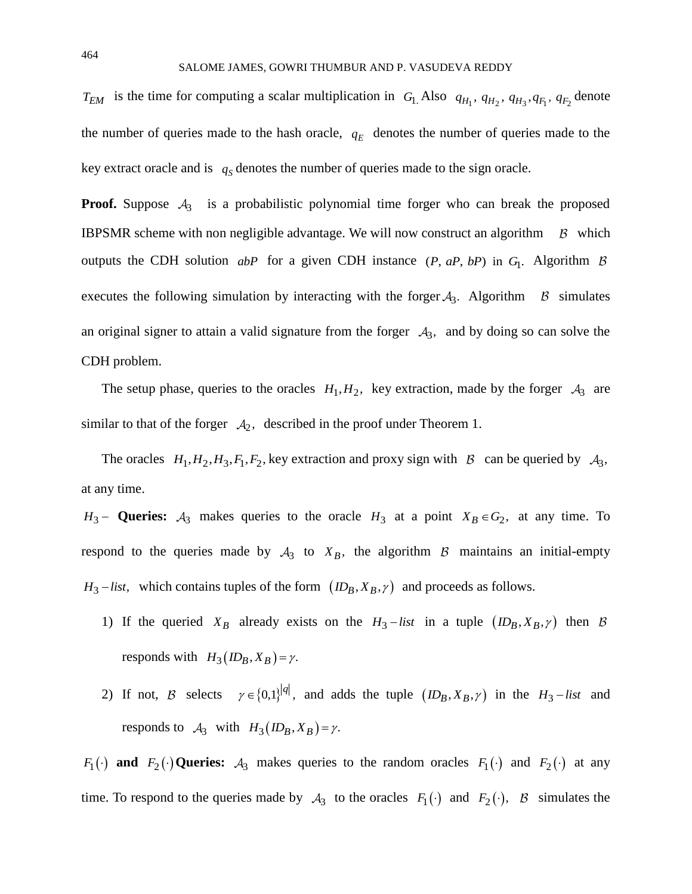$T_{EM}$  is the time for computing a scalar multiplication in  $G_1$ . Also  $q_{H_1}$ ,  $q_{H_2}$ ,  $q_{H_3}$ ,  $q_{F_1}$ ,  $q_{F_2}$  denote the number of queries made to the hash oracle,  $q_E$  denotes the number of queries made to the key extract oracle and is  $q_s$  denotes the number of queries made to the sign oracle.

**Proof.** Suppose  $A_3$  is a probabilistic polynomial time forger who can break the proposed IBPSMR scheme with non negligible advantage. We will now construct an algorithm  $\beta$  which outputs the CDH solution *abP* for a given CDH instance (*P*, *aP*, *bP*) in G<sub>1</sub>. Algorithm executes the following simulation by interacting with the forger  $A_3$ . Algorithm  $\beta$  simulates an original signer to attain a valid signature from the forger  $A_3$ , and by doing so can solve the CDH problem.

The setup phase, queries to the oracles  $H_1, H_2$ , key extraction, made by the forger  $A_3$  are similar to that of the forger  $\mathcal{A}_2$ , described in the proof under Theorem 1.

The oracles  $H_1, H_2, H_3, F_1, F_2$ , key extraction and proxy sign with  $\beta$  can be queried by  $A_3$ , at any time.

*H*<sub>3</sub> − **Queries:**  $A_3$  makes queries to the oracle *H*<sub>3</sub> at a point  $X_B \in G_2$ , at any time. To respond to the queries made by  $A_3$  to  $X_B$ , the algorithm  $B$  maintains an initial-empty  $H_3$  − *list*, which contains tuples of the form  $(ID_B, X_B, \gamma)$  and proceeds as follows.

- 1) If the queried  $X_B$  already exists on the  $H_3$ -list in a tuple  $(ID_B, X_B, \gamma)$  then responds with  $H_3(D_B, X_B) = \gamma$ .
- 2) If not, B selects  $\gamma \in \{0,1\}^{|q|}$ , and adds the tuple  $(ID_B, X_B, \gamma)$  in the  $H_3$ -list and responds to  $A_3$  with  $H_3(ID_B, X_B) = \gamma$ .

*F*<sub>1</sub>(*i*) **and** *F*<sub>2</sub>(*i*) **Queries:**  $A_3$  makes queries to the random oracles *F*<sub>1</sub>(*i*) and *F*<sub>2</sub>(*i*) at any time. To respond to the queries made by  $A_3$  to the oracles  $F_1(\cdot)$  and  $F_2(\cdot)$ , B simulates the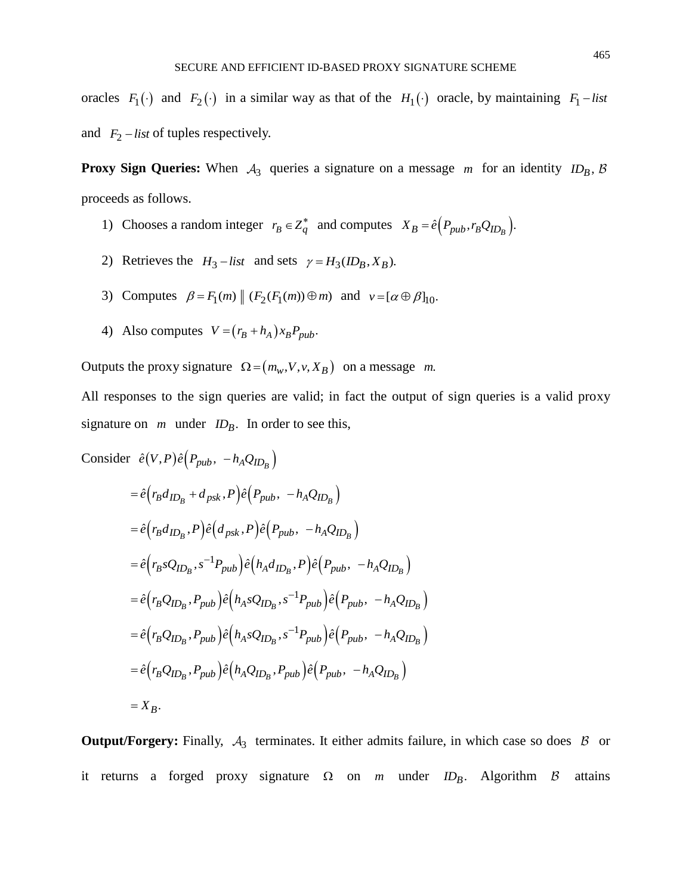oracles  $F_1(\cdot)$  and  $F_2(\cdot)$  in a similar way as that of the  $H_1(\cdot)$  oracle, by maintaining  $F_1$  – list and  $F_2$  – *list* of tuples respectively.

**Proxy Sign Queries:** When  $A_3$  queries a signature on a message m for an identity  $ID_B$ , proceeds as follows.

- 1) Chooses a random integer  $r_B \in Z_q^*$  and computes  $X_B = \hat{e}(P_{pub}, r_B Q_{ID_B})$ .
- 2) Retrieves the  $H_3$ -list and sets  $\gamma = H_3(ID_B, X_B)$ .
- 3) Computes  $\beta = F_1(m) \|(F_2(F_1(m)) \oplus m)$  and  $v = [\alpha \oplus \beta]_{10}$ .
- 4) Also computes  $V = (r_B + h_A) x_B P_{pub}$ .

Outputs the proxy signature  $\Omega = (m_w, V, v, X_B)$  on a message m.

All responses to the sign queries are valid; in fact the output of sign queries is a valid proxy signature on  $m$  under  $ID_B$ . In order to see this,

Consider 
$$
\hat{e}(V, P)\hat{e}(P_{pub}, -h_AQ_{ID_B})
$$
  
\n
$$
= \hat{e}(r_Bd_{ID_B} + d_{psk}, P)\hat{e}(P_{pub}, -h_AQ_{ID_B})
$$
\n
$$
= \hat{e}(r_Bd_{ID_B}, P)\hat{e}(d_{psk}, P)\hat{e}(P_{pub}, -h_AQ_{ID_B})
$$
\n
$$
= \hat{e}(r_BsQ_{ID_B}, s^{-1}P_{pub})\hat{e}(h_Ad_{ID_B}, P)\hat{e}(P_{pub}, -h_AQ_{ID_B})
$$
\n
$$
= \hat{e}(r_BQ_{ID_B}, P_{pub})\hat{e}(h_AsQ_{ID_B}, s^{-1}P_{pub})\hat{e}(P_{pub}, -h_AQ_{ID_B})
$$
\n
$$
= \hat{e}(r_BQ_{ID_B}, P_{pub})\hat{e}(h_AsQ_{ID_B}, s^{-1}P_{pub})\hat{e}(P_{pub}, -h_AQ_{ID_B})
$$
\n
$$
= \hat{e}(r_BQ_{ID_B}, P_{pub})\hat{e}(h_AQ_{ID_B}, P_{pub})\hat{e}(P_{pub}, -h_AQ_{ID_B})
$$
\n
$$
= X_B.
$$

**Output/Forgery:** Finally,  $A_3$  terminates. It either admits failure, in which case so does  $B$  or it returns a forged proxy signature  $\Omega$  on *m* under *ID*<sub>B</sub>. Algorithm *B* attains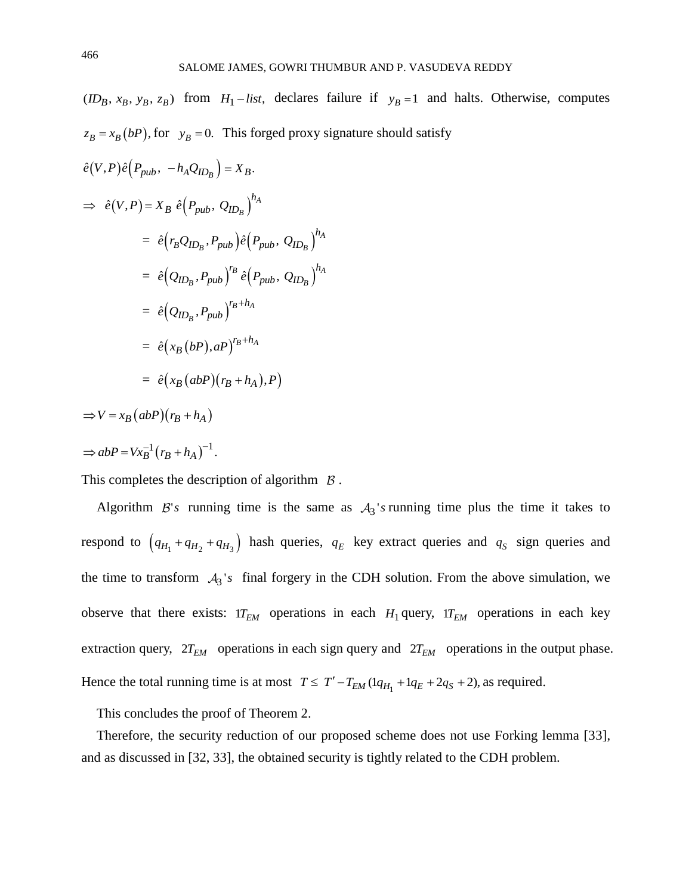$(ID_B, x_B, y_B, z_B)$  from  $H_1$  − *list*, declares failure if  $y_B = 1$  and halts. Otherwise, computes  $z_B = x_B(bP)$ , for  $y_B = 0$ . This forged proxy signature should satisfy

$$
\hat{e}(V, P)\hat{e}(P_{pub}, -h_A Q_{ID_B}) = X_B.
$$
  
\n
$$
\Rightarrow \hat{e}(V, P) = X_B \hat{e}(P_{pub}, Q_{ID_B})^{h_A}
$$
  
\n
$$
= \hat{e}(r_B Q_{ID_B}, P_{pub}) \hat{e}(P_{pub}, Q_{ID_B})^{h_A}
$$
  
\n
$$
= \hat{e}(Q_{ID_B}, P_{pub})^{r_B} \hat{e}(P_{pub}, Q_{ID_B})^{h_A}
$$
  
\n
$$
= \hat{e}(Q_{ID_B}, P_{pub})^{r_B + h_A}
$$
  
\n
$$
= \hat{e}(x_B(bP), aP)^{r_B + h_A}
$$
  
\n
$$
= \hat{e}(x_B(abP)(r_B + h_A), P)
$$

$$
\Rightarrow V = x_B (abP)(r_B + h_A)
$$
  

$$
\Rightarrow abP = Vx_B^{-1} (r_B + h_A)^{-1}.
$$

This completes the description of algorithm  $\beta$ .

Algorithm  $\mathcal{B}'$ 's running time is the same as  $\mathcal{A}_3$ 's running time plus the time it takes to respond to  $(q_{H_1} + q_{H_2} + q_{H_3})$  hash queries,  $q_E$  key extract queries and  $q_S$  sign queries and the time to transform  $A_3$ 's final forgery in the CDH solution. From the above simulation, we observe that there exists:  $1T_{EM}$  operations in each  $H_1$  query,  $1T_{EM}$  operations in each key extraction query,  $2T_{EM}$  operations in each sign query and  $2T_{EM}$  operations in the output phase. Hence the total running time is at most  $T \leq T' - T_{EM} (1q_{H_1} + 1q_E + 2q_S + 2)$ , as required.

This concludes the proof of Theorem 2.

Therefore, the security reduction of our proposed scheme does not use Forking lemma [33], and as discussed in [32, 33], the obtained security is tightly related to the CDH problem.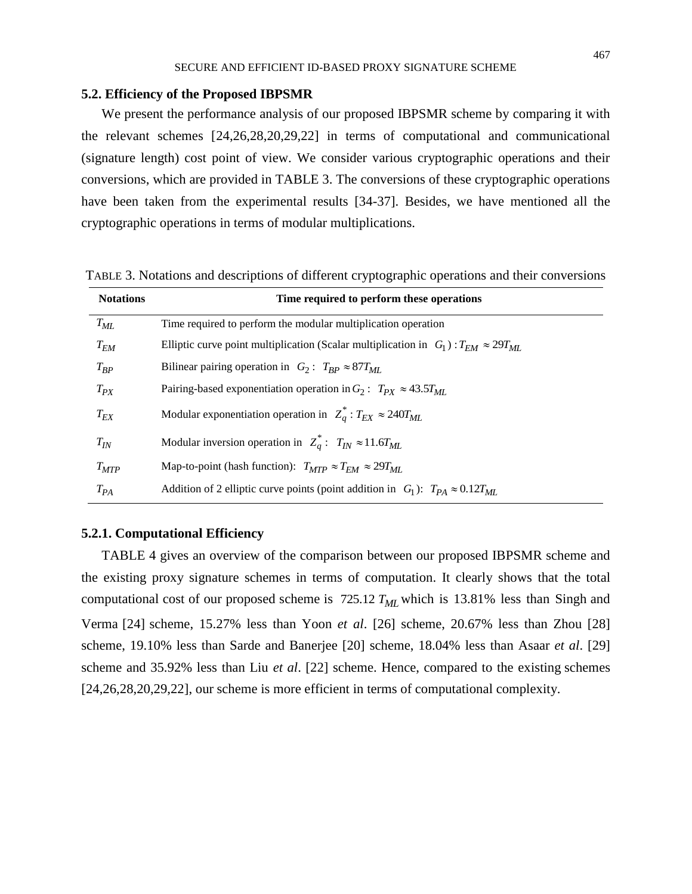#### **5.2. Efficiency of the Proposed IBPSMR**

We present the performance analysis of our proposed IBPSMR scheme by comparing it with the relevant schemes [24,26,28,20,29,22] in terms of computational and communicational (signature length) cost point of view. We consider various cryptographic operations and their conversions, which are provided in TABLE 3. The conversions of these cryptographic operations have been taken from the experimental results [34-37]. Besides, we have mentioned all the cryptographic operations in terms of modular multiplications.

TABLE 3. Notations and descriptions of different cryptographic operations and their conversions

| <b>Notations</b> | Time required to perform these operations                                                        |
|------------------|--------------------------------------------------------------------------------------------------|
| $T_{ML}$         | Time required to perform the modular multiplication operation                                    |
| $T_{EM}$         | Elliptic curve point multiplication (Scalar multiplication in $G_1$ ): $T_{EM} \approx 29T_{ML}$ |
| $T_{RP}$         | Bilinear pairing operation in $G_2: T_{BP} \approx 87 T_{ML}$                                    |
| $T_{PX}$         | Pairing-based exponentiation operation in $G_2$ : $T_{PX} \approx 43.5 T_{MI}$ .                 |
| $T_{EX}$         | Modular exponentiation operation in $Z_q^*$ : $T_{EX} \approx 240 T_{ML}$                        |
| $T_{IN}$         | Modular inversion operation in $Z_a^*$ : $T_{IN} \approx 11.6 T_{ML}$                            |
| $T_{MTP}$        | Map-to-point (hash function): $T_{MTP} \approx T_{EM} \approx 29T_{ML}$                          |
| $T_{PA}$         | Addition of 2 elliptic curve points (point addition in $G_1$ ): $T_{PA} \approx 0.12 T_{ML}$     |

#### **5.2.1. Computational Efficiency**

TABLE 4 gives an overview of the comparison between our proposed IBPSMR scheme and the existing proxy signature schemes in terms of computation. It clearly shows that the total computational cost of our proposed scheme is 725.12 *TML* which is 13.81% less than Singh and Verma [24] scheme, 15.27% less than Yoon *et al*. [26] scheme, 20.67% less than Zhou [28] scheme, 19.10% less than Sarde and Banerjee [20] scheme, 18.04% less than Asaar *et al*. [29] scheme and 35.92% less than Liu *et al*. [22] scheme. Hence, compared to the existing schemes [24,26,28,20,29,22], our scheme is more efficient in terms of computational complexity.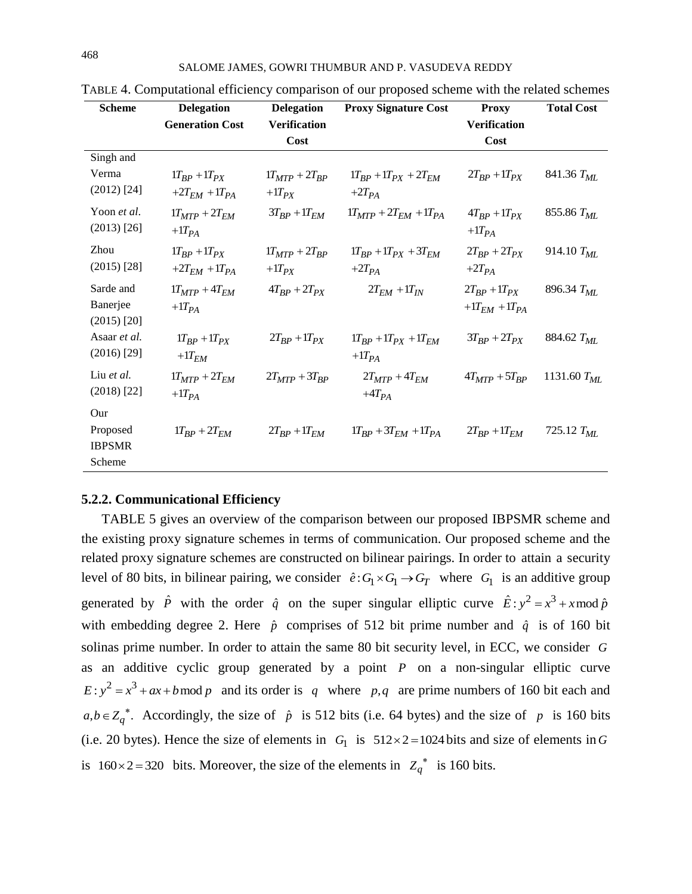| <b>Scheme</b> | <b>Delegation</b>            | <b>Delegation</b>     | <b>Proxy Signature Cost</b>    | <b>Proxy</b>           | <b>Total Cost</b>      |
|---------------|------------------------------|-----------------------|--------------------------------|------------------------|------------------------|
|               | <b>Generation Cost</b>       | <b>Verification</b>   |                                | <b>Verification</b>    |                        |
|               |                              | Cost                  |                                | Cost                   |                        |
| Singh and     |                              |                       |                                |                        |                        |
| Verma         | $1T_{BP} + 1T_{PX}$          | $1T_{MTP} + 2T_{BP}$  | $1T_{BP} + 1T_{PX} + 2T_{EM}$  | $2T_{BP} + 1T_{PX}$    | 841.36 $T_{ML}$        |
| $(2012)$ [24] | $+2T_{EM} + 1T_{PA}$         | $+1T_{PX}$            | $+2T_{PA}$                     |                        |                        |
| Yoon et al.   | $1T_{MTP} + 2T_{EM}$         | $3T_{BP}$ + $1T_{EM}$ | $1T_{MTP} + 2T_{EM} + 1T_{PA}$ | $4T_{BP} + 1T_{PX}$    | 855.86 T <sub>ML</sub> |
| $(2013)$ [26] | $+1T_{PA}$                   |                       |                                | $+1T_{PA}$             |                        |
| Zhou          | $1T_{BP} + 1T_{PX}$          | $1T_{MTP} + 2T_{BP}$  | $1T_{BP} + 1T_{PX} + 3T_{EM}$  | $2T_{BP} + 2T_{PX}$    | 914.10 $T_{ML}$        |
| $(2015)$ [28] | $+2T_{EM}$ +1T <sub>PA</sub> | $+1T_{PX}$            | $+2T_{PA}$                     | $+2T_{PA}$             |                        |
| Sarde and     | $1T_{MTP} + 4T_{EM}$         | $4T_{BP} + 2T_{PX}$   | $2T_{EM} + 1T_{IN}$            | $2T_{BP} + 1T_{PX}$    | 896.34 $T_{ML}$        |
| Banerjee      | $+1T_{PA}$                   |                       |                                | $+1T_{EM}$ + $1T_{PA}$ |                        |
| $(2015)$ [20] |                              |                       |                                |                        |                        |
| Asaar et al.  | $1T_{BP} + 1T_{PX}$          | $2T_{BP}$ + $1T_{PX}$ | $1T_{BP} + 1T_{PX} + 1T_{EM}$  | $3T_{BP} + 2T_{PX}$    | 884.62 T <sub>ML</sub> |
| $(2016)$ [29] | $+1T_{EM}$                   |                       | $+1T_{PA}$                     |                        |                        |
| Liu et al.    | $1T_{MTP} + 2T_{EM}$         | $2T_{MTP} + 3T_{BP}$  | $2T_{MTP} + 4T_{EM}$           | $4T_{MTP} + 5T_{BP}$   | 1131.60 $T_{ML}$       |
| $(2018)$ [22] | $+1T_{PA}$                   |                       | $+4T_{PA}$                     |                        |                        |
| Our           |                              |                       |                                |                        |                        |
| Proposed      | $1T_{BP} + 2T_{EM}$          | $2T_{BP} + 1T_{EM}$   | $1T_{BP} + 3T_{EM} + 1T_{PA}$  | $2T_{BP} + 1T_{EM}$    | 725.12 $T_{ML}$        |
| <b>IBPSMR</b> |                              |                       |                                |                        |                        |
| Scheme        |                              |                       |                                |                        |                        |

TABLE 4. Computational efficiency comparison of our proposed scheme with the related schemes

## **5.2.2. Communicational Efficiency**

TABLE 5 gives an overview of the comparison between our proposed IBPSMR scheme and the existing proxy signature schemes in terms of communication. Our proposed scheme and the related proxy signature schemes are constructed on bilinear pairings. In order to attain a security level of 80 bits, in bilinear pairing, we consider  $\hat{e}: G_1 \times G_1 \to G_T$  where  $G_1$  is an additive group generated by  $\hat{P}$  with the order  $\hat{q}$  on the super singular elliptic curve  $\hat{E}: y^2 = x^3 + x \mod \hat{p}$ with embedding degree 2. Here  $\hat{p}$  comprises of 512 bit prime number and  $\hat{q}$  is of 160 bit solinas prime number. In order to attain the same 80 bit security level, in ECC, we consider *G* as an additive cyclic group generated by a point  $P$  on a non-singular elliptic curve  $E: y^2 = x^3 + ax + b \mod p$  and its order is q where p,q are prime numbers of 160 bit each and  $a, b \in Z_q^*$ . Accordingly, the size of  $\hat{p}$  is 512 bits (i.e. 64 bytes) and the size of  $p$  is 160 bits (i.e. 20 bytes). Hence the size of elements in  $G_1$  is  $512 \times 2 = 1024$  bits and size of elements in G is 160 × 2 = 320 bits. Moreover, the size of the elements in  $Z_q^*$  is 160 bits.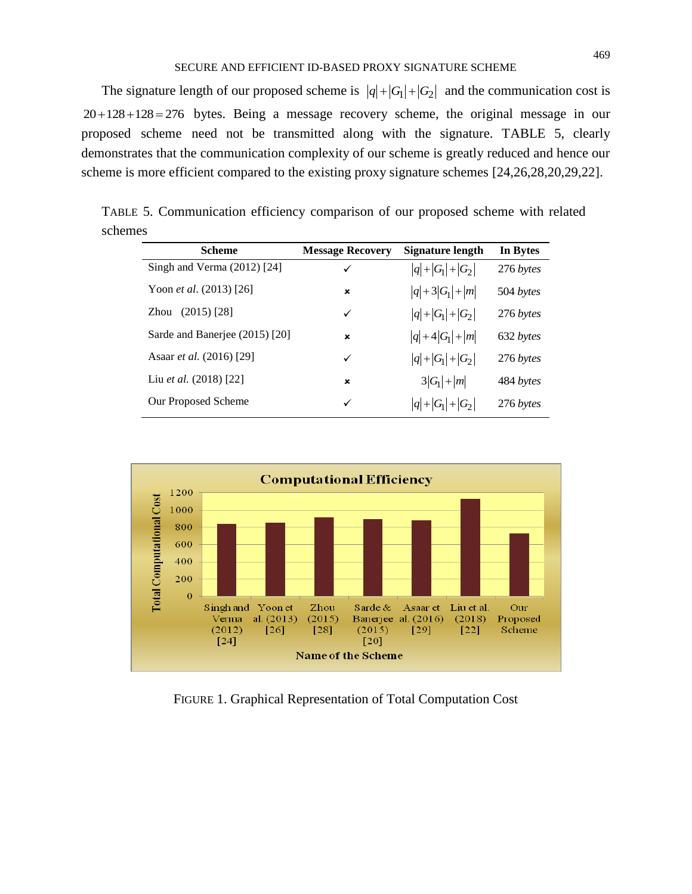#### SECURE AND EFFICIENT ID-BASED PROXY SIGNATURE SCHEME

The signature length of our proposed scheme is  $|q|+|G_1|+|G_2|$  and the communication cost is  $20 + 128 + 128 = 276$  bytes. Being a message recovery scheme, the original message in our proposed scheme need not be transmitted along with the signature. TABLE 5, clearly demonstrates that the communication complexity of our scheme is greatly reduced and hence our scheme is more efficient compared to the existing proxy signature schemes [24,26,28,20,29,22].

TABLE 5. Communication efficiency comparison of our proposed scheme with related schemes

| <b>Scheme</b>                    | <b>Message Recovery</b> | Signature length  | In Bytes  |
|----------------------------------|-------------------------|-------------------|-----------|
| Singh and Verma $(2012)$ [24]    | ✓                       | $ q + G_1 + G_2 $ | 276 bytes |
| Yoon <i>et al.</i> $(2013)$ [26] | ×                       | $ q +3 G_1 + m $  | 504 bytes |
| $(2015)$ [28]<br>Zhou            | ✓                       | $ q + G_1 + G_2 $ | 276 bytes |
| Sarde and Banerjee (2015) [20]   | $\mathbf x$             | $ q +4 G_1 + m $  | 632 bytes |
| Asaar <i>et al.</i> (2016) [29]  | ✓                       | $ q + G_1 + G_2 $ | 276 bytes |
| Liu <i>et al.</i> $(2018)$ [22]  | $\mathbf x$             | $3 G_1  +  m $    | 484 bytes |
| Our Proposed Scheme              | ✓                       | $ q + G_1 + G_2 $ | 276 bytes |



FIGURE 1. Graphical Representation of Total Computation Cost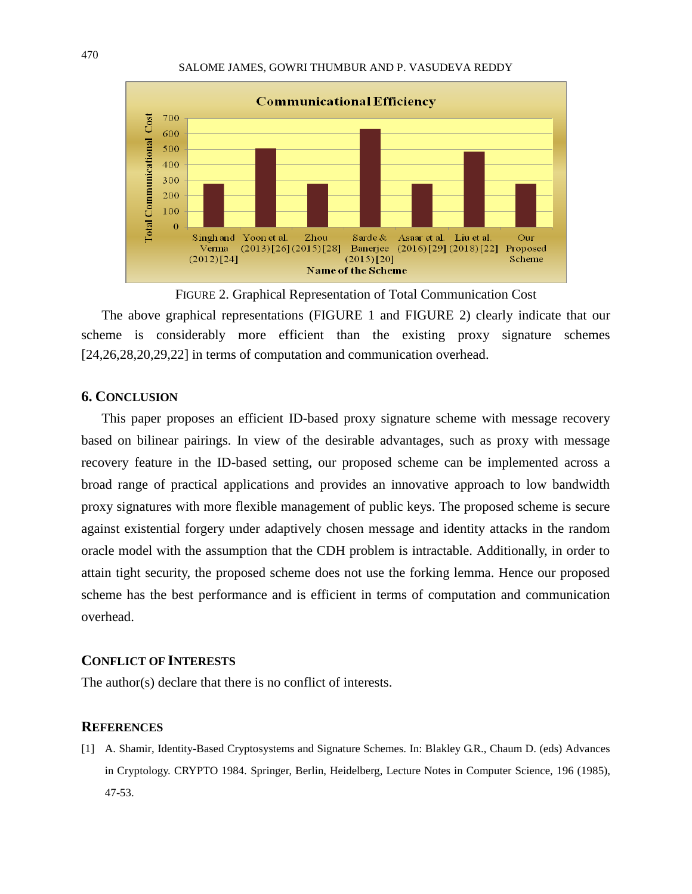#### SALOME JAMES, GOWRI THUMBUR AND P. VASUDEVA REDDY



FIGURE 2. Graphical Representation of Total Communication Cost

The above graphical representations (FIGURE 1 and FIGURE 2) clearly indicate that our scheme is considerably more efficient than the existing proxy signature schemes [24,26,28,20,29,22] in terms of computation and communication overhead.

#### **6. CONCLUSION**

This paper proposes an efficient ID-based proxy signature scheme with message recovery based on bilinear pairings. In view of the desirable advantages, such as proxy with message recovery feature in the ID-based setting, our proposed scheme can be implemented across a broad range of practical applications and provides an innovative approach to low bandwidth proxy signatures with more flexible management of public keys. The proposed scheme is secure against existential forgery under adaptively chosen message and identity attacks in the random oracle model with the assumption that the CDH problem is intractable. Additionally, in order to attain tight security, the proposed scheme does not use the forking lemma. Hence our proposed scheme has the best performance and is efficient in terms of computation and communication overhead.

## **CONFLICT OF INTERESTS**

The author(s) declare that there is no conflict of interests.

## **REFERENCES**

[1] A. Shamir, Identity-Based Cryptosystems and Signature Schemes. In: Blakley G.R., Chaum D. (eds) Advances in Cryptology. CRYPTO 1984. Springer, Berlin, Heidelberg, Lecture Notes in Computer Science, 196 (1985), 47-53.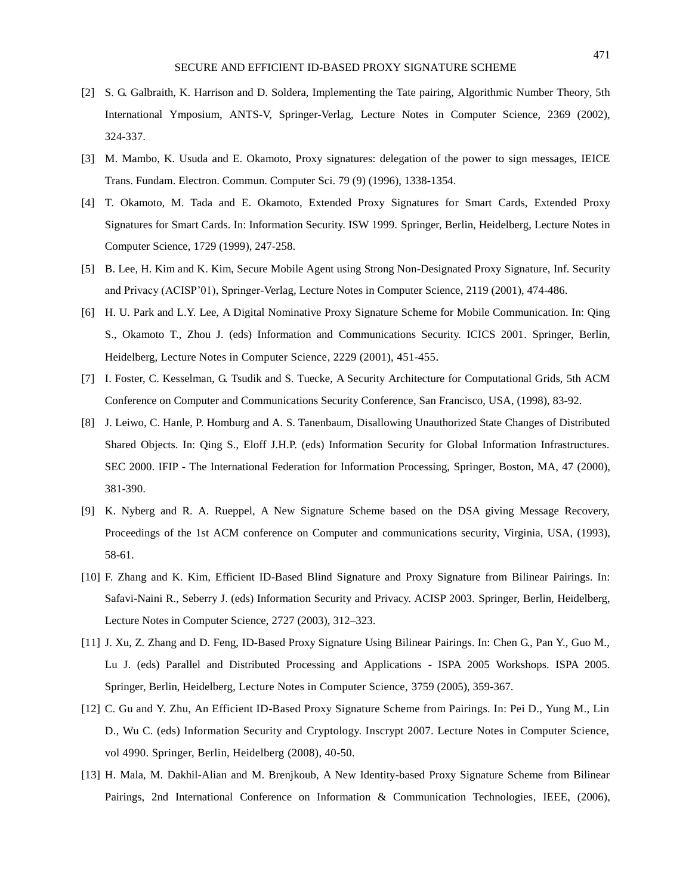- [2] S. G. Galbraith, K. Harrison and D. Soldera, Implementing the Tate pairing, Algorithmic Number Theory, 5th International Ymposium, ANTS-V, Springer-Verlag, Lecture Notes in Computer Science, 2369 (2002), 324-337.
- [3] M. Mambo, K. Usuda and E. Okamoto, Proxy signatures: delegation of the power to sign messages, IEICE Trans. Fundam. Electron. Commun. Computer Sci. 79 (9) (1996), 1338-1354.
- [4] T. Okamoto, M. Tada and E. Okamoto, Extended Proxy Signatures for Smart Cards, Extended Proxy Signatures for Smart Cards. In: Information Security. ISW 1999. Springer, Berlin, Heidelberg, Lecture Notes in Computer Science, 1729 (1999), 247-258.
- [5] B. Lee, H. Kim and K. Kim, Secure Mobile Agent using Strong Non-Designated Proxy Signature, Inf. Security and Privacy (ACISP'01), Springer-Verlag, Lecture Notes in Computer Science, 2119 (2001), 474-486.
- [6] H. U. Park and L.Y. Lee, A Digital Nominative Proxy Signature Scheme for Mobile Communication. In: Qing S., Okamoto T., Zhou J. (eds) Information and Communications Security. ICICS 2001. Springer, Berlin, Heidelberg, Lecture Notes in Computer Science, 2229 (2001), 451-455.
- [7] I. Foster, C. Kesselman, G. Tsudik and S. Tuecke, A Security Architecture for Computational Grids, 5th ACM Conference on Computer and Communications Security Conference, San Francisco, USA, (1998), 83-92.
- [8] J. Leiwo, C. Hanle, P. Homburg and A. S. Tanenbaum, Disallowing Unauthorized State Changes of Distributed Shared Objects. In: Qing S., Eloff J.H.P. (eds) Information Security for Global Information Infrastructures. SEC 2000. IFIP - The International Federation for Information Processing, Springer, Boston, MA, 47 (2000), 381-390.
- [9] K. Nyberg and R. A. Rueppel, A New Signature Scheme based on the DSA giving Message Recovery, Proceedings of the 1st ACM conference on Computer and communications security, Virginia, USA, (1993), 58-61.
- [10] F. Zhang and K. Kim, Efficient ID-Based Blind Signature and Proxy Signature from Bilinear Pairings. In: Safavi-Naini R., Seberry J. (eds) Information Security and Privacy. ACISP 2003. Springer, Berlin, Heidelberg, Lecture Notes in Computer Science, 2727 (2003), 312–323.
- [11] J. Xu, Z. Zhang and D. Feng, ID-Based Proxy Signature Using Bilinear Pairings. In: Chen G., Pan Y., Guo M., Lu J. (eds) Parallel and Distributed Processing and Applications - ISPA 2005 Workshops. ISPA 2005. Springer, Berlin, Heidelberg, Lecture Notes in Computer Science, 3759 (2005), 359-367.
- [12] C. Gu and Y. Zhu, An Efficient ID-Based Proxy Signature Scheme from Pairings. In: Pei D., Yung M., Lin D., Wu C. (eds) Information Security and Cryptology. Inscrypt 2007. Lecture Notes in Computer Science, vol 4990. Springer, Berlin, Heidelberg (2008), 40-50.
- [13] H. Mala, M. Dakhil-Alian and M. Brenjkoub, A New Identity-based Proxy Signature Scheme from Bilinear Pairings, 2nd International Conference on Information & Communication Technologies, IEEE, (2006),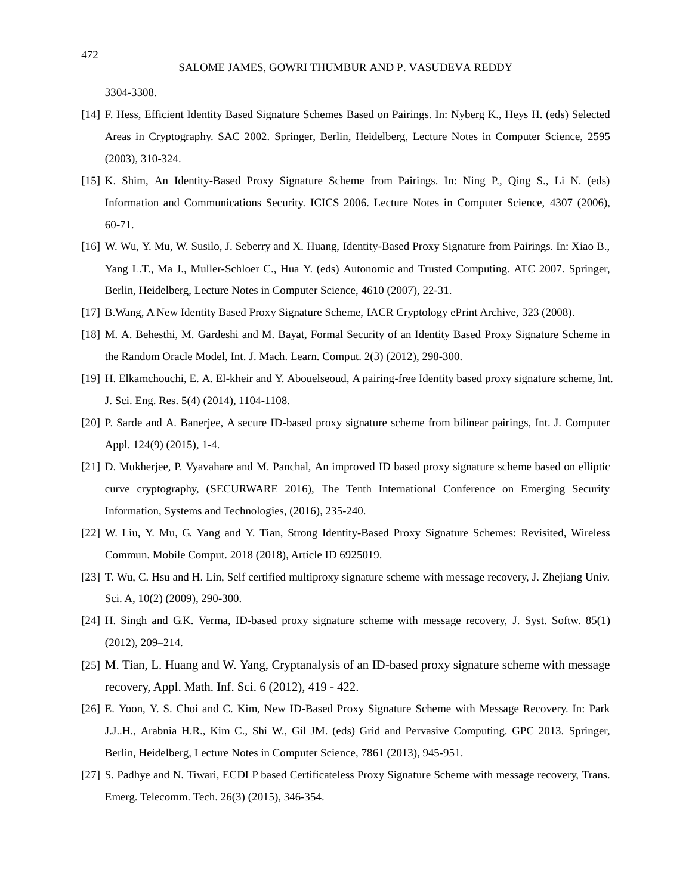3304-3308.

- [14] F. Hess, Efficient Identity Based Signature Schemes Based on Pairings. In: Nyberg K., Heys H. (eds) Selected Areas in Cryptography. SAC 2002. Springer, Berlin, Heidelberg, Lecture Notes in Computer Science, 2595 (2003), 310-324.
- [15] K. Shim, An Identity-Based Proxy Signature Scheme from Pairings. In: Ning P., Qing S., Li N. (eds) Information and Communications Security. ICICS 2006. Lecture Notes in Computer Science, 4307 (2006), 60-71.
- [16] W. Wu, Y. Mu, W. Susilo, J. Seberry and X. Huang, Identity-Based Proxy Signature from Pairings. In: Xiao B., Yang L.T., Ma J., Muller-Schloer C., Hua Y. (eds) Autonomic and Trusted Computing. ATC 2007. Springer, Berlin, Heidelberg, Lecture Notes in Computer Science, 4610 (2007), 22-31.
- [17] B.Wang, A New Identity Based Proxy Signature Scheme, IACR Cryptology ePrint Archive, 323 (2008).
- [18] M. A. Behesthi, M. Gardeshi and M. Bayat, Formal Security of an Identity Based Proxy Signature Scheme in the Random Oracle Model, Int. J. Mach. Learn. Comput. 2(3) (2012), 298-300.
- [19] H. Elkamchouchi, E. A. El-kheir and Y. Abouelseoud, A pairing-free Identity based proxy signature scheme, Int. J. Sci. Eng. Res. 5(4) (2014), 1104-1108.
- [20] P. Sarde and A. Banerjee, A secure ID-based proxy signature scheme from bilinear pairings, Int. J. Computer Appl. 124(9) (2015), 1-4.
- [21] D. Mukherjee, P. Vyavahare and M. Panchal, An improved ID based proxy signature scheme based on elliptic curve cryptography, (SECURWARE 2016), The Tenth International Conference on Emerging Security Information, Systems and Technologies, (2016), 235-240.
- [22] W. Liu, Y. Mu, G. Yang and Y. Tian, Strong Identity-Based Proxy Signature Schemes: Revisited, Wireless Commun. Mobile Comput. 2018 (2018), Article ID 6925019.
- [23] T. Wu, C. Hsu and H. Lin, Self certified multiproxy signature scheme with message recovery, J. Zhejiang Univ. Sci. A, 10(2) (2009), 290-300.
- [24] H. Singh and G.K. Verma, ID-based proxy signature scheme with message recovery, J. Syst. Softw. 85(1) (2012), 209–214.
- [25] M. Tian, L. Huang and W. Yang, Cryptanalysis of an ID-based proxy signature scheme with message recovery, Appl. Math. Inf. Sci. 6 (2012), 419 - 422.
- [26] E. Yoon, Y. S. Choi and C. Kim, New ID-Based Proxy Signature Scheme with Message Recovery. In: Park J.J..H., Arabnia H.R., Kim C., Shi W., Gil JM. (eds) Grid and Pervasive Computing. GPC 2013. Springer, Berlin, Heidelberg, Lecture Notes in Computer Science, 7861 (2013), 945-951.
- [27] S. Padhye and N. Tiwari, ECDLP based Certificateless Proxy Signature Scheme with message recovery, Trans. Emerg. Telecomm. Tech. 26(3) (2015), 346-354.